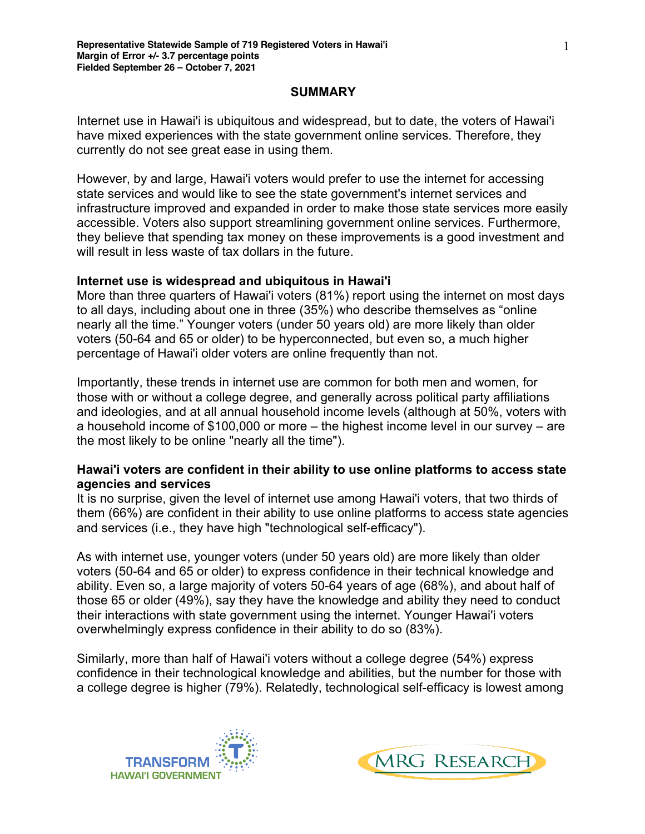#### **SUMMARY**

Internet use in Hawai'i is ubiquitous and widespread, but to date, the voters of Hawai'i have mixed experiences with the state government online services. Therefore, they currently do not see great ease in using them.

However, by and large, Hawai'i voters would prefer to use the internet for accessing state services and would like to see the state government's internet services and infrastructure improved and expanded in order to make those state services more easily accessible. Voters also support streamlining government online services. Furthermore, they believe that spending tax money on these improvements is a good investment and will result in less waste of tax dollars in the future.

#### **Internet use is widespread and ubiquitous in Hawai'i**

More than three quarters of Hawai'i voters (81%) report using the internet on most days to all days, including about one in three (35%) who describe themselves as "online nearly all the time." Younger voters (under 50 years old) are more likely than older voters (50-64 and 65 or older) to be hyperconnected, but even so, a much higher percentage of Hawai'i older voters are online frequently than not.

Importantly, these trends in internet use are common for both men and women, for those with or without a college degree, and generally across political party affiliations and ideologies, and at all annual household income levels (although at 50%, voters with a household income of \$100,000 or more – the highest income level in our survey – are the most likely to be online "nearly all the time").

#### **Hawai'i voters are confident in their ability to use online platforms to access state agencies and services**

It is no surprise, given the level of internet use among Hawai'i voters, that two thirds of them (66%) are confident in their ability to use online platforms to access state agencies and services (i.e., they have high "technological self-efficacy").

As with internet use, younger voters (under 50 years old) are more likely than older voters (50-64 and 65 or older) to express confidence in their technical knowledge and ability. Even so, a large majority of voters 50-64 years of age (68%), and about half of those 65 or older (49%), say they have the knowledge and ability they need to conduct their interactions with state government using the internet. Younger Hawai'i voters overwhelmingly express confidence in their ability to do so (83%).

Similarly, more than half of Hawai'i voters without a college degree (54%) express confidence in their technological knowledge and abilities, but the number for those with a college degree is higher (79%). Relatedly, technological self-efficacy is lowest among



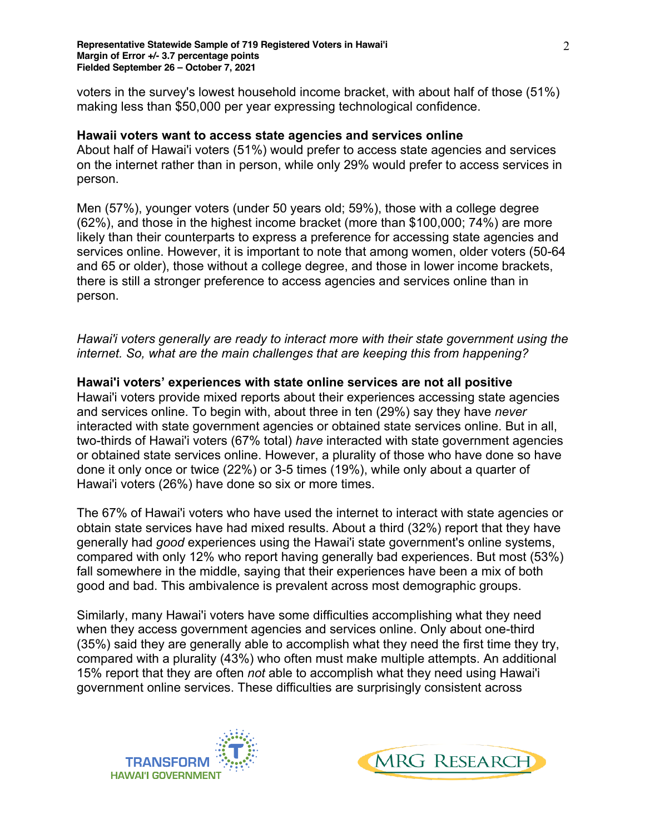voters in the survey's lowest household income bracket, with about half of those (51%) making less than \$50,000 per year expressing technological confidence.

#### **Hawaii voters want to access state agencies and services online**

About half of Hawai'i voters (51%) would prefer to access state agencies and services on the internet rather than in person, while only 29% would prefer to access services in person.

Men (57%), younger voters (under 50 years old; 59%), those with a college degree (62%), and those in the highest income bracket (more than \$100,000; 74%) are more likely than their counterparts to express a preference for accessing state agencies and services online. However, it is important to note that among women, older voters (50-64 and 65 or older), those without a college degree, and those in lower income brackets, there is still a stronger preference to access agencies and services online than in person.

*Hawai'i voters generally are ready to interact more with their state government using the internet. So, what are the main challenges that are keeping this from happening?*

**Hawai'i voters' experiences with state online services are not all positive** Hawai'i voters provide mixed reports about their experiences accessing state agencies and services online. To begin with, about three in ten (29%) say they have *never* interacted with state government agencies or obtained state services online. But in all, two-thirds of Hawai'i voters (67% total) *have* interacted with state government agencies or obtained state services online. However, a plurality of those who have done so have done it only once or twice (22%) or 3-5 times (19%), while only about a quarter of Hawai'i voters (26%) have done so six or more times.

The 67% of Hawai'i voters who have used the internet to interact with state agencies or obtain state services have had mixed results. About a third (32%) report that they have generally had *good* experiences using the Hawai'i state government's online systems, compared with only 12% who report having generally bad experiences. But most (53%) fall somewhere in the middle, saying that their experiences have been a mix of both good and bad. This ambivalence is prevalent across most demographic groups.

Similarly, many Hawai'i voters have some difficulties accomplishing what they need when they access government agencies and services online. Only about one-third (35%) said they are generally able to accomplish what they need the first time they try, compared with a plurality (43%) who often must make multiple attempts. An additional 15% report that they are often *not* able to accomplish what they need using Hawai'i government online services. These difficulties are surprisingly consistent across



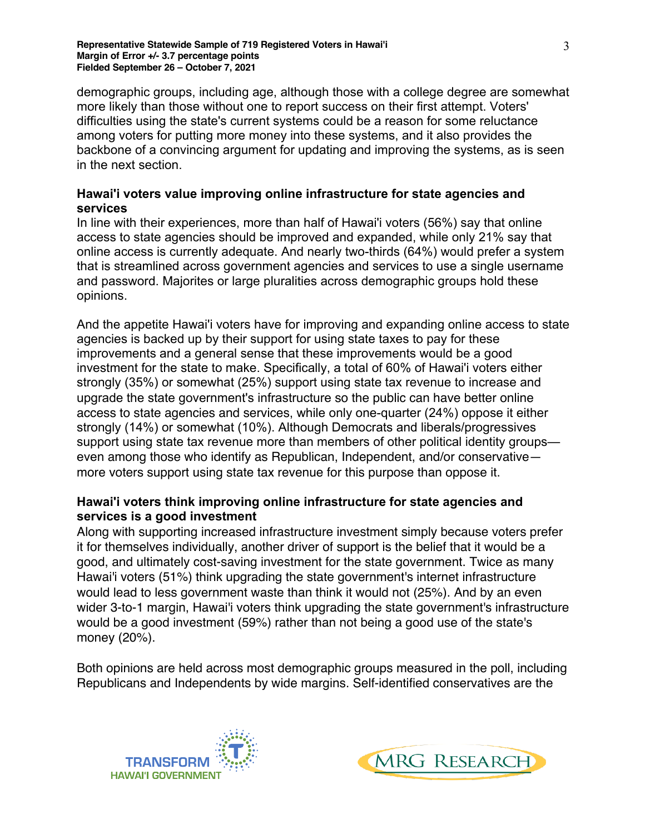demographic groups, including age, although those with a college degree are somewhat more likely than those without one to report success on their first attempt. Voters' difficulties using the state's current systems could be a reason for some reluctance among voters for putting more money into these systems, and it also provides the backbone of a convincing argument for updating and improving the systems, as is seen in the next section.

## **Hawai'i voters value improving online infrastructure for state agencies and services**

In line with their experiences, more than half of Hawai'i voters (56%) say that online access to state agencies should be improved and expanded, while only 21% say that online access is currently adequate. And nearly two-thirds (64%) would prefer a system that is streamlined across government agencies and services to use a single username and password. Majorites or large pluralities across demographic groups hold these opinions.

And the appetite Hawai'i voters have for improving and expanding online access to state agencies is backed up by their support for using state taxes to pay for these improvements and a general sense that these improvements would be a good investment for the state to make. Specifically, a total of 60% of Hawai'i voters either strongly (35%) or somewhat (25%) support using state tax revenue to increase and upgrade the state government's infrastructure so the public can have better online access to state agencies and services, while only one-quarter (24%) oppose it either strongly (14%) or somewhat (10%). Although Democrats and liberals/progressives support using state tax revenue more than members of other political identity groups even among those who identify as Republican, Independent, and/or conservative more voters support using state tax revenue for this purpose than oppose it.

## **Hawai'i voters think improving online infrastructure for state agencies and services is a good investment**

Along with supporting increased infrastructure investment simply because voters prefer it for themselves individually, another driver of support is the belief that it would be a good, and ultimately cost-saving investment for the state government. Twice as many Hawai'i voters (51%) think upgrading the state government's internet infrastructure would lead to less government waste than think it would not (25%). And by an even wider 3-to-1 margin, Hawai'i voters think upgrading the state government's infrastructure would be a good investment (59%) rather than not being a good use of the state's money (20%).

Both opinions are held across most demographic groups measured in the poll, including Republicans and Independents by wide margins. Self-identified conservatives are the



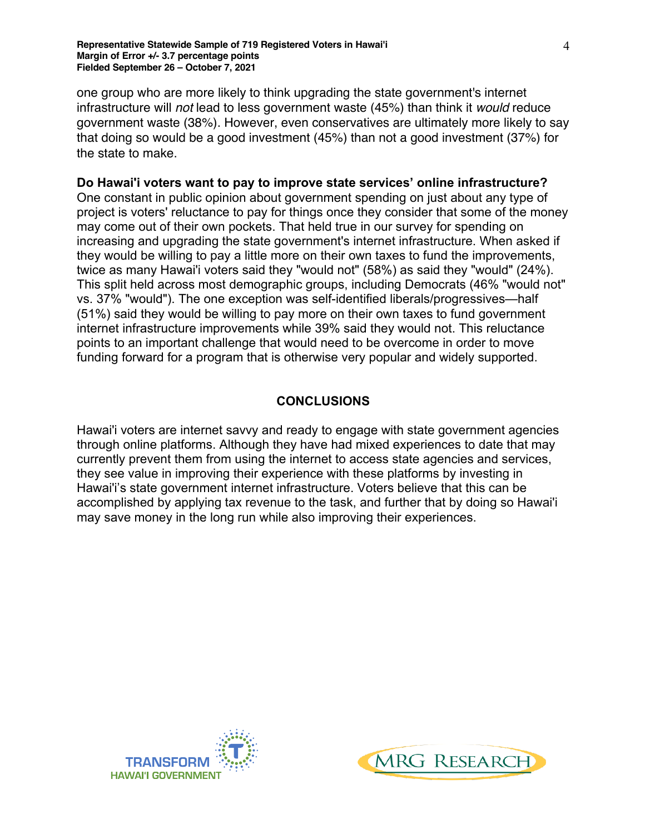one group who are more likely to think upgrading the state government's internet infrastructure will *not* lead to less government waste (45%) than think it *would* reduce government waste (38%). However, even conservatives are ultimately more likely to say that doing so would be a good investment (45%) than not a good investment (37%) for the state to make.

#### **Do Hawai'i voters want to pay to improve state services' online infrastructure?**

One constant in public opinion about government spending on just about any type of project is voters' reluctance to pay for things once they consider that some of the money may come out of their own pockets. That held true in our survey for spending on increasing and upgrading the state government's internet infrastructure. When asked if they would be willing to pay a little more on their own taxes to fund the improvements, twice as many Hawai'i voters said they "would not" (58%) as said they "would" (24%). This split held across most demographic groups, including Democrats (46% "would not" vs. 37% "would"). The one exception was self-identified liberals/progressives—half (51%) said they would be willing to pay more on their own taxes to fund government internet infrastructure improvements while 39% said they would not. This reluctance points to an important challenge that would need to be overcome in order to move funding forward for a program that is otherwise very popular and widely supported.

#### **CONCLUSIONS**

Hawai'i voters are internet savvy and ready to engage with state government agencies through online platforms. Although they have had mixed experiences to date that may currently prevent them from using the internet to access state agencies and services, they see value in improving their experience with these platforms by investing in Hawai'i's state government internet infrastructure. Voters believe that this can be accomplished by applying tax revenue to the task, and further that by doing so Hawai'i may save money in the long run while also improving their experiences.



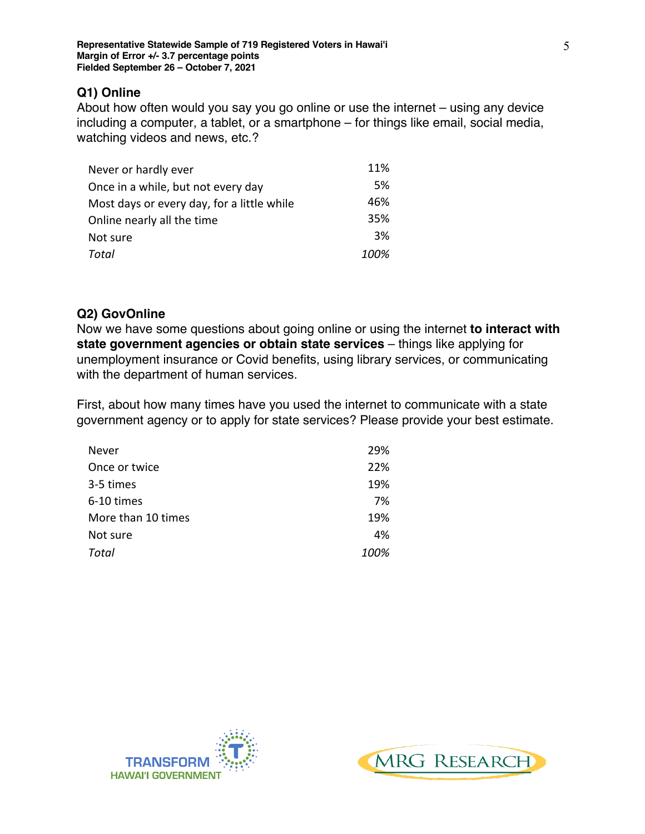## **Q1) Online**

About how often would you say you go online or use the internet – using any device including a computer, a tablet, or a smartphone – for things like email, social media, watching videos and news, etc.?

| Never or hardly ever                       | 11%  |
|--------------------------------------------|------|
| Once in a while, but not every day         | 5%   |
| Most days or every day, for a little while | 46%  |
| Online nearly all the time                 | 35%  |
| Not sure                                   | 3%   |
| Total                                      | 100% |

### **Q2) GovOnline**

Now we have some questions about going online or using the internet **to interact with state government agencies or obtain state services** – things like applying for unemployment insurance or Covid benefits, using library services, or communicating with the department of human services.

First, about how many times have you used the internet to communicate with a state government agency or to apply for state services? Please provide your best estimate.

| Never              | 29%  |
|--------------------|------|
| Once or twice      | 22%  |
| 3-5 times          | 19%  |
| 6-10 times         | 7%   |
| More than 10 times | 19%  |
| Not sure           | 4%   |
| Total              | 100% |



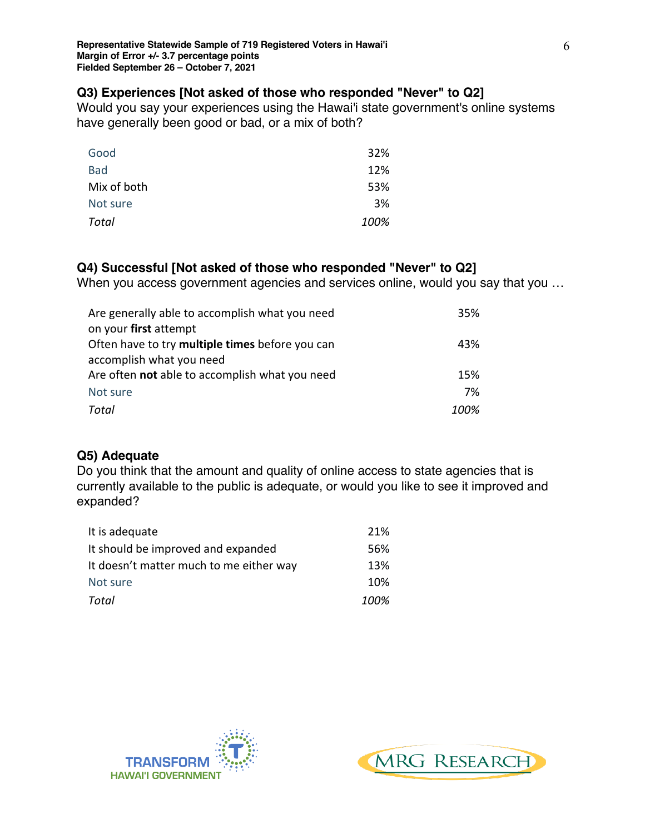## **Q3) Experiences [Not asked of those who responded "Never" to Q2]**

Would you say your experiences using the Hawai'i state government's online systems have generally been good or bad, or a mix of both?

| Good         | 32%  |
|--------------|------|
| <b>Bad</b>   | 12%  |
| Mix of both  | 53%  |
| Not sure     | 3%   |
| <b>Total</b> | 100% |

# **Q4) Successful [Not asked of those who responded "Never" to Q2]**

When you access government agencies and services online, would you say that you ...

| Are generally able to accomplish what you need  | 35%  |
|-------------------------------------------------|------|
| on your first attempt                           |      |
| Often have to try multiple times before you can | 43%  |
| accomplish what you need                        |      |
| Are often not able to accomplish what you need  | 15%  |
| Not sure                                        | 7%   |
| Total                                           | 100% |

# **Q5) Adequate**

Do you think that the amount and quality of online access to state agencies that is currently available to the public is adequate, or would you like to see it improved and expanded?

| It is adequate                          | 21%  |
|-----------------------------------------|------|
| It should be improved and expanded      | .56% |
| It doesn't matter much to me either way | 13%  |
| Not sure                                | 10%  |
| Total                                   | 100% |



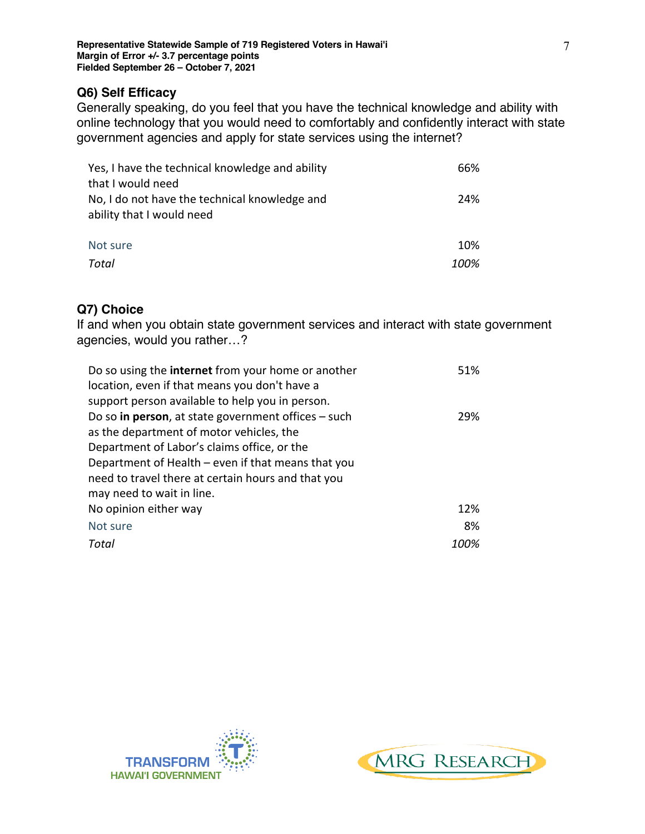## **Q6) Self Efficacy**

Generally speaking, do you feel that you have the technical knowledge and ability with online technology that you would need to comfortably and confidently interact with state government agencies and apply for state services using the internet?

| Yes, I have the technical knowledge and ability | 66%  |
|-------------------------------------------------|------|
| that I would need                               |      |
| No, I do not have the technical knowledge and   | 24%  |
| ability that I would need                       |      |
|                                                 |      |
| Not sure                                        | 10%  |
| Total                                           | 100% |

## **Q7) Choice**

If and when you obtain state government services and interact with state government agencies, would you rather…?

| Do so using the <b>internet</b> from your home or another | 51% |
|-----------------------------------------------------------|-----|
| location, even if that means you don't have a             |     |
| support person available to help you in person.           |     |
| Do so in person, at state government offices - such       | 29% |
| as the department of motor vehicles, the                  |     |
| Department of Labor's claims office, or the               |     |
| Department of Health – even if that means that you        |     |
| need to travel there at certain hours and that you        |     |
| may need to wait in line.                                 |     |
| No opinion either way                                     | 12% |
| Not sure                                                  | 8%  |
| Total<br>100%                                             |     |



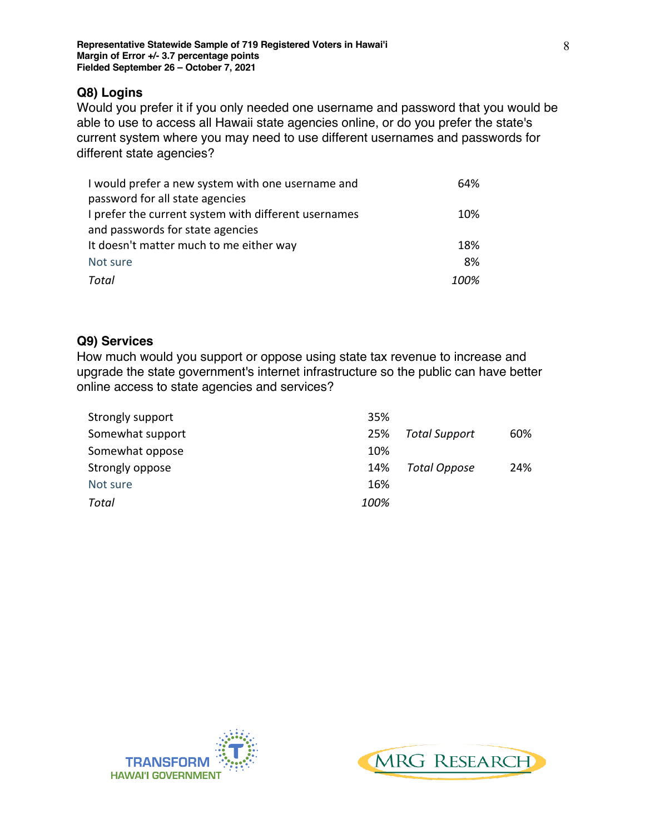### **Q8) Logins**

Would you prefer it if you only needed one username and password that you would be able to use to access all Hawaii state agencies online, or do you prefer the state's current system where you may need to use different usernames and passwords for different state agencies?

| I would prefer a new system with one username and    | 64%  |
|------------------------------------------------------|------|
| password for all state agencies                      |      |
| I prefer the current system with different usernames | 10%  |
| and passwords for state agencies                     |      |
| It doesn't matter much to me either way              | 18%  |
| Not sure                                             | 8%   |
| Total                                                | 100% |

# **Q9) Services**

How much would you support or oppose using state tax revenue to increase and upgrade the state government's internet infrastructure so the public can have better online access to state agencies and services?

| Strongly support | 35%  |                      |     |
|------------------|------|----------------------|-----|
| Somewhat support | 25%  | <b>Total Support</b> | 60% |
| Somewhat oppose  | 10%  |                      |     |
| Strongly oppose  | 14%  | Total Oppose         | 24% |
| Not sure         | 16%  |                      |     |
| Total            | 100% |                      |     |



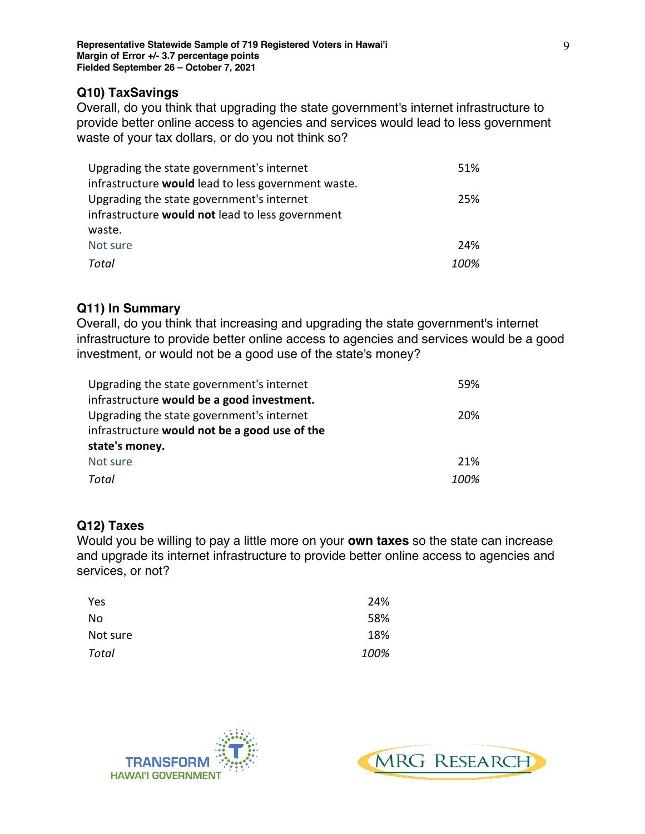## **Q10) TaxSavings**

Overall, do you think that upgrading the state government's internet infrastructure to provide better online access to agencies and services would lead to less government waste of your tax dollars, or do you not think so?

| Upgrading the state government's internet               | 51%  |
|---------------------------------------------------------|------|
| infrastructure would lead to less government waste.     |      |
| Upgrading the state government's internet               | 25%  |
| infrastructure <b>would not</b> lead to less government |      |
| waste.                                                  |      |
| Not sure                                                | 24%  |
| Total                                                   | 100% |

# **Q11) In Summary**

Overall, do you think that increasing and upgrading the state government's internet infrastructure to provide better online access to agencies and services would be a good investment, or would not be a good use of the state's money?

| Upgrading the state government's internet     | .59% |
|-----------------------------------------------|------|
| infrastructure would be a good investment.    |      |
| Upgrading the state government's internet     | 20%  |
| infrastructure would not be a good use of the |      |
| state's money.                                |      |
| Not sure                                      | 21%  |
| Total                                         | 100% |

# **Q12) Taxes**

Would you be willing to pay a little more on your **own taxes** so the state can increase and upgrade its internet infrastructure to provide better online access to agencies and services, or not?

| Yes      | 24%  |
|----------|------|
| No       | 58%  |
| Not sure | 18%  |
| Total    | 100% |



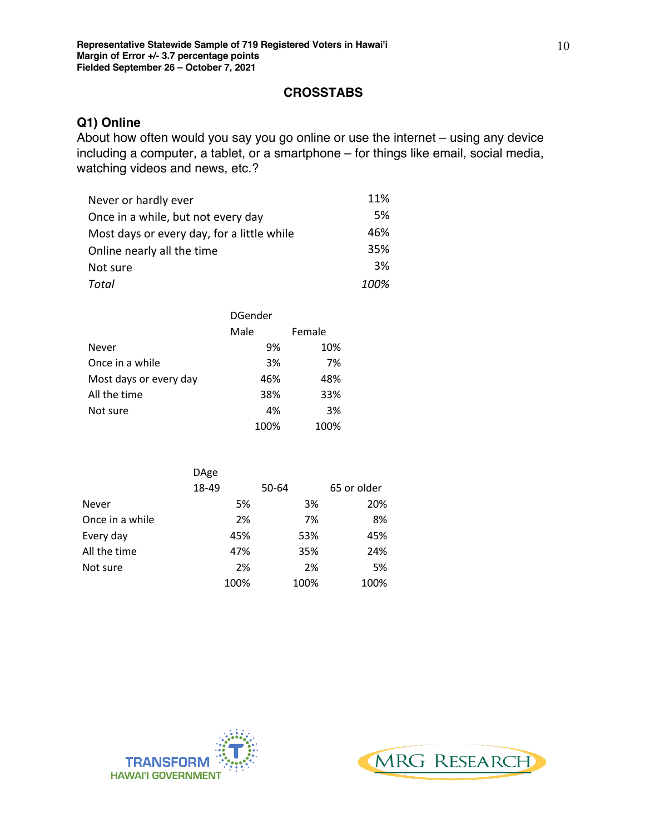### **CROSSTABS**

# **Q1) Online**

About how often would you say you go online or use the internet – using any device including a computer, a tablet, or a smartphone – for things like email, social media, watching videos and news, etc.?

| Never or hardly ever                       | 11%  |
|--------------------------------------------|------|
| Once in a while, but not every day         | 5%   |
| Most days or every day, for a little while | 46%  |
| Online nearly all the time                 | 35%  |
| Not sure                                   | 3%   |
| Total                                      | 100% |

|                        | DGender |        |  |  |
|------------------------|---------|--------|--|--|
|                        | Male    | Female |  |  |
| Never                  | 9%      | 10%    |  |  |
| Once in a while        | 3%      | 7%     |  |  |
| Most days or every day | 46%     | 48%    |  |  |
| All the time           | 38%     | 33%    |  |  |
| Not sure               | 4%      | 3%     |  |  |
|                        | 100%    | 100%   |  |  |

|                 | <b>DAge</b> |       |             |
|-----------------|-------------|-------|-------------|
|                 | 18-49       | 50-64 | 65 or older |
| <b>Never</b>    | 5%          | 3%    | 20%         |
| Once in a while | 2%          | 7%    | 8%          |
| Every day       | 45%         | 53%   | 45%         |
| All the time    | 47%         | 35%   | 24%         |
| Not sure        | 2%          | 2%    | 5%          |
|                 | 100%        | 100%  | 100%        |



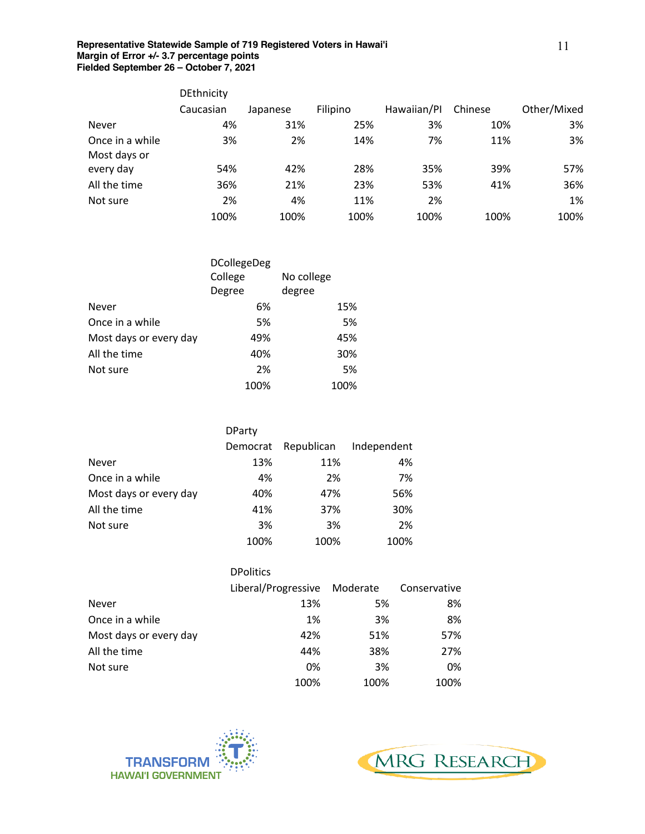|                                 | DEthnicity |          |          |             |         |             |
|---------------------------------|------------|----------|----------|-------------|---------|-------------|
|                                 | Caucasian  | Japanese | Filipino | Hawaiian/Pl | Chinese | Other/Mixed |
| Never                           | 4%         | 31%      | 25%      | 3%          | 10%     | 3%          |
| Once in a while<br>Most days or | 3%         | 2%       | 14%      | 7%          | 11%     | 3%          |
| every day                       | 54%        | 42%      | 28%      | 35%         | 39%     | 57%         |
| All the time                    | 36%        | 21%      | 23%      | 53%         | 41%     | 36%         |
| Not sure                        | 2%         | 4%       | 11%      | 2%          |         | 1%          |
|                                 | 100%       | 100%     | 100%     | 100%        | 100%    | 100%        |

|                        | <b>DCollegeDeg</b> |            |  |
|------------------------|--------------------|------------|--|
|                        | College            | No college |  |
|                        | Degree             | degree     |  |
| Never                  | 6%                 | 15%        |  |
| Once in a while        | 5%                 | 5%         |  |
| Most days or every day | 49%                | 45%        |  |
| All the time           | 40%                | 30%        |  |
| Not sure               | 2%                 | 5%         |  |
|                        | 100%               | 100%       |  |

|                        | <b>DParty</b> |            |             |  |  |
|------------------------|---------------|------------|-------------|--|--|
|                        | Democrat      | Republican | Independent |  |  |
| <b>Never</b>           | 13%           | 11%        | 4%          |  |  |
| Once in a while        | 4%            | 2%         | 7%          |  |  |
| Most days or every day | 40%           | 47%        | 56%         |  |  |
| All the time           | 41%           | 37%        | 30%         |  |  |
| Not sure               | 3%            | 3%         | 2%          |  |  |
|                        | 100%          | 100%       | 100%        |  |  |

|                        | <b>DPolitics</b>             |      |              |  |
|------------------------|------------------------------|------|--------------|--|
|                        | Liberal/Progressive Moderate |      | Conservative |  |
| Never                  | 13%                          | 5%   | 8%           |  |
| Once in a while        | 1%                           | 3%   | 8%           |  |
| Most days or every day | 42%                          | 51%  | 57%          |  |
| All the time           | 44%                          | 38%  | 27%          |  |
| Not sure               | 0%                           | 3%   | 0%           |  |
|                        | 100%                         | 100% | 100%         |  |



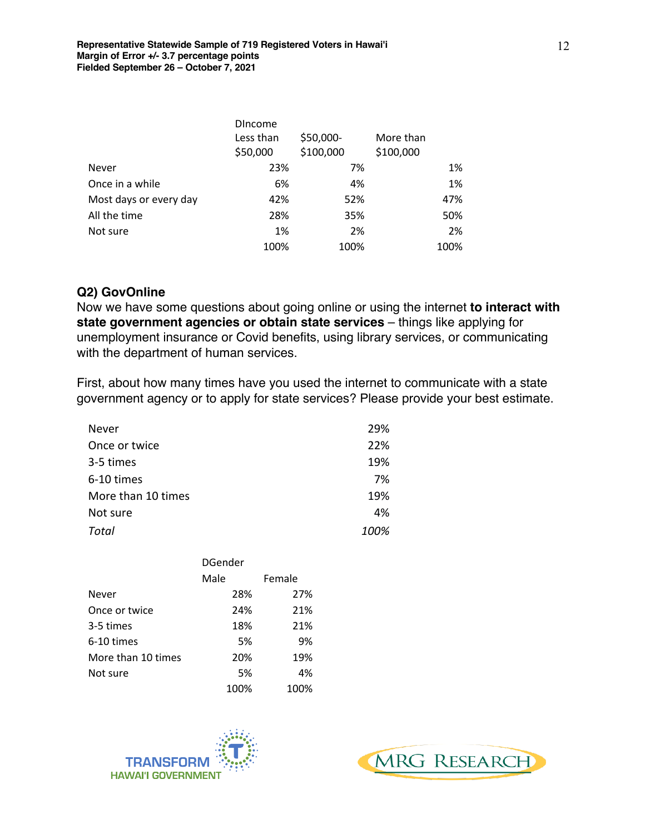|                        | <b>DIncome</b>        |                        |                        |
|------------------------|-----------------------|------------------------|------------------------|
|                        | Less than<br>\$50,000 | \$50,000-<br>\$100,000 | More than<br>\$100,000 |
| <b>Never</b>           | 23%                   | 7%                     | 1%                     |
| Once in a while        | 6%                    | 4%                     | 1%                     |
| Most days or every day | 42%                   | 52%                    | 47%                    |
| All the time           | 28%                   | 35%                    | 50%                    |
| Not sure               | 1%                    | 2%                     | 2%                     |
|                        | 100%                  | 100%                   | 100%                   |

### **Q2) GovOnline**

Now we have some questions about going online or using the internet **to interact with state government agencies or obtain state services** – things like applying for unemployment insurance or Covid benefits, using library services, or communicating with the department of human services.

First, about how many times have you used the internet to communicate with a state government agency or to apply for state services? Please provide your best estimate.

| Never              | 29%  |
|--------------------|------|
| Once or twice      | 22%  |
| 3-5 times          | 19%  |
| 6-10 times         | 7%   |
| More than 10 times | 19%  |
| Not sure           | 4%   |
| Total              | 100% |

|                    | <b>DGender</b> |        |  |  |
|--------------------|----------------|--------|--|--|
|                    | Male           | Female |  |  |
| <b>Never</b>       | 28%            | 27%    |  |  |
| Once or twice      | 24%            | 21%    |  |  |
| 3-5 times          | 18%            | 21%    |  |  |
| 6-10 times         | 5%             | 9%     |  |  |
| More than 10 times | 20%            | 19%    |  |  |
| Not sure           | 5%             | 4%     |  |  |
|                    | 100%           | 100%   |  |  |



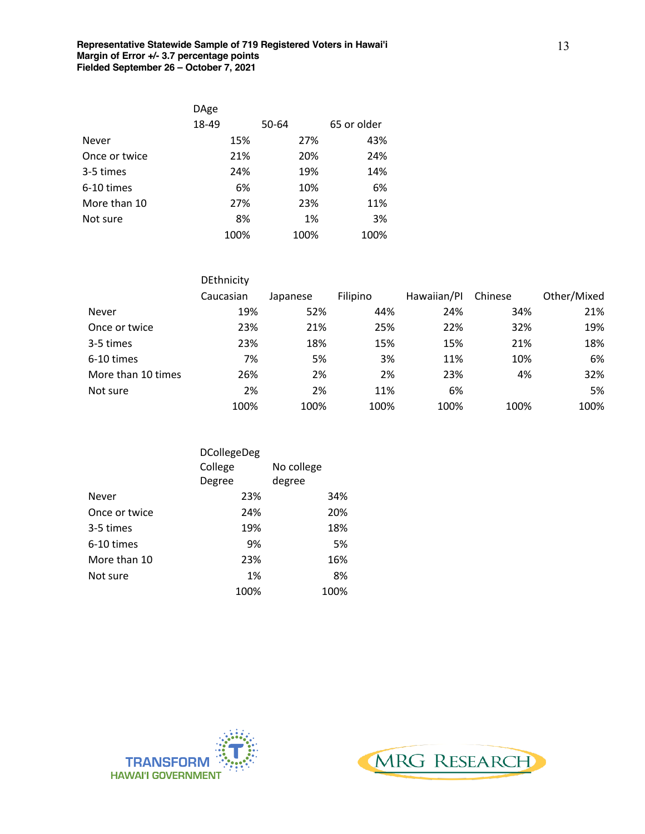|               | <b>DAge</b> |      |       |      |             |
|---------------|-------------|------|-------|------|-------------|
|               | 18-49       |      | 50-64 |      | 65 or older |
| <b>Never</b>  |             | 15%  |       | 27%  | 43%         |
| Once or twice |             | 21%  |       | 20%  | 24%         |
| 3-5 times     |             | 24%  |       | 19%  | 14%         |
| 6-10 times    |             | 6%   |       | 10%  | 6%          |
| More than 10  |             | 27%  |       | 23%  | 11%         |
| Not sure      |             | 8%   |       | 1%   | 3%          |
|               |             | 100% |       | 100% | 100%        |

|                    | DEthnicity |          |          |             |         |             |
|--------------------|------------|----------|----------|-------------|---------|-------------|
|                    | Caucasian  | Japanese | Filipino | Hawaiian/Pl | Chinese | Other/Mixed |
| Never              | 19%        | 52%      | 44%      | 24%         | 34%     | 21%         |
| Once or twice      | 23%        | 21%      | 25%      | 22%         | 32%     | 19%         |
| 3-5 times          | 23%        | 18%      | 15%      | 15%         | 21%     | 18%         |
| 6-10 times         | 7%         | 5%       | 3%       | 11%         | 10%     | 6%          |
| More than 10 times | 26%        | 2%       | 2%       | 23%         | 4%      | 32%         |
| Not sure           | 2%         | 2%       | 11%      | 6%          |         | 5%          |
|                    | 100%       | 100%     | 100%     | 100%        | 100%    | 100%        |

|               | <b>DCollegeDeg</b> |            |  |
|---------------|--------------------|------------|--|
|               | College            | No college |  |
|               | Degree             | degree     |  |
| Never         | 23%                | 34%        |  |
| Once or twice | 24%                | 20%        |  |
| 3-5 times     | 19%                | 18%        |  |
| 6-10 times    | 9%                 | 5%         |  |
| More than 10  | 23%                | 16%        |  |
| Not sure      | 1%                 | 8%         |  |
|               | 100%               | 100%       |  |



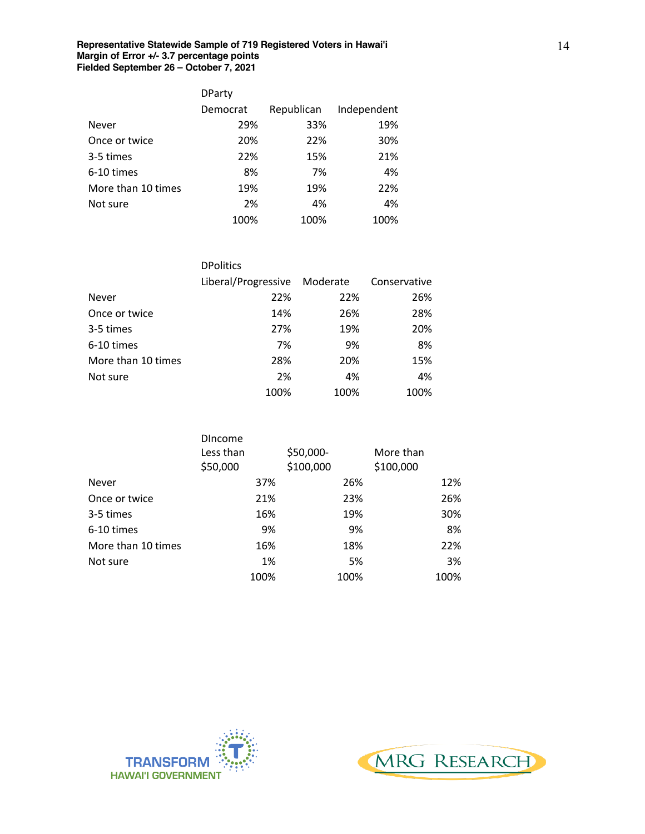|                    | <b>DParty</b> |            |             |
|--------------------|---------------|------------|-------------|
|                    | Democrat      | Republican | Independent |
| Never              | 29%           | 33%        | 19%         |
| Once or twice      | 20%           | 22%        | 30%         |
| 3-5 times          | 22%           | 15%        | 21%         |
| 6-10 times         | 8%            | 7%         | 4%          |
| More than 10 times | 19%           | 19%        | 22%         |
| Not sure           | 2%            | 4%         | 4%          |
|                    | 100%          | 100%       | 100%        |

|                    | <b>DPolitics</b>    |          |              |
|--------------------|---------------------|----------|--------------|
|                    | Liberal/Progressive | Moderate | Conservative |
| <b>Never</b>       | 22%                 | 22%      | 26%          |
| Once or twice      | 14%                 | 26%      | 28%          |
| 3-5 times          | 27%                 | 19%      | 20%          |
| 6-10 times         | 7%                  | 9%       | 8%           |
| More than 10 times | 28%                 | 20%      | 15%          |
| Not sure           | 2%                  | 4%       | 4%           |
|                    | 100%                | 100%     | 100%         |

|                    | <b>DIncome</b> |      |           |      |           |      |
|--------------------|----------------|------|-----------|------|-----------|------|
|                    | Less than      |      | \$50,000- |      | More than |      |
|                    | \$50,000       |      | \$100,000 |      | \$100,000 |      |
| <b>Never</b>       |                | 37%  |           | 26%  |           | 12%  |
| Once or twice      |                | 21%  |           | 23%  |           | 26%  |
| 3-5 times          |                | 16%  |           | 19%  |           | 30%  |
| 6-10 times         |                | 9%   |           | 9%   |           | 8%   |
| More than 10 times |                | 16%  |           | 18%  |           | 22%  |
| Not sure           |                | 1%   |           | 5%   |           | 3%   |
|                    |                | 100% |           | 100% |           | 100% |



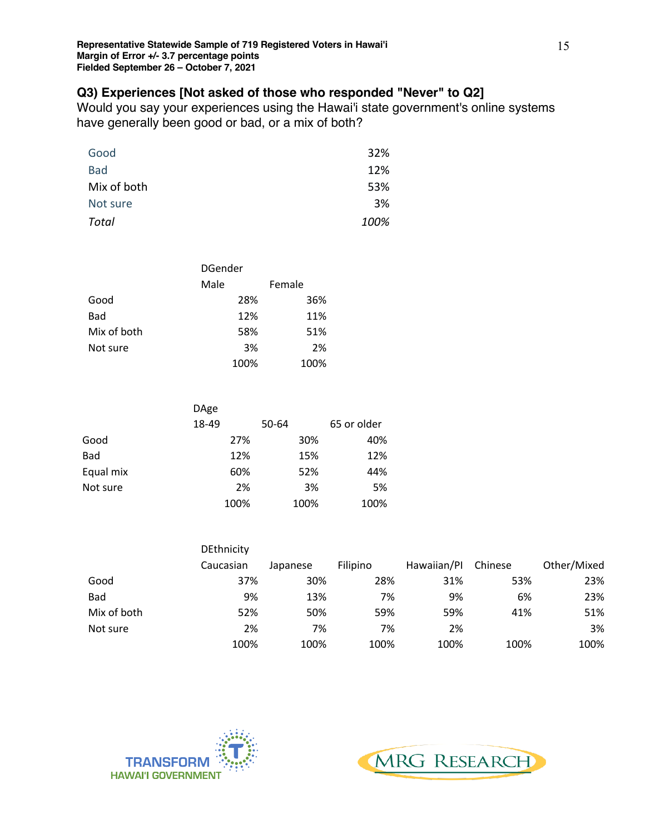## **Q3) Experiences [Not asked of those who responded "Never" to Q2]**

Would you say your experiences using the Hawai'i state government's online systems have generally been good or bad, or a mix of both?

| Good        | 32%  |
|-------------|------|
| <b>Bad</b>  | 12%  |
| Mix of both | 53%  |
| Not sure    | 3%   |
| Total       | 100% |

|             | DGender |        |  |  |
|-------------|---------|--------|--|--|
|             | Male    | Female |  |  |
| Good        | 28%     | 36%    |  |  |
| <b>Bad</b>  | 12%     | 11%    |  |  |
| Mix of both | 58%     | 51%    |  |  |
| Not sure    | 3%      | 2%     |  |  |
|             | 100%    | 100%   |  |  |

|           | <b>DAge</b> |       |             |
|-----------|-------------|-------|-------------|
|           | 18-49       | 50-64 | 65 or older |
| Good      | 27%         | 30%   | 40%         |
| Bad       | 12%         | 15%   | 12%         |
| Equal mix | 60%         | 52%   | 44%         |
| Not sure  | 2%          | 3%    | 5%          |
|           | 100%        | 100%  | 100%        |

|             | <b>DEthnicity</b> |          |          |             |         |             |
|-------------|-------------------|----------|----------|-------------|---------|-------------|
|             | Caucasian         | Japanese | Filipino | Hawaiian/Pl | Chinese | Other/Mixed |
| Good        | 37%               | 30%      | 28%      | 31%         | 53%     | 23%         |
| <b>Bad</b>  | 9%                | 13%      | 7%       | 9%          | 6%      | 23%         |
| Mix of both | 52%               | 50%      | 59%      | 59%         | 41%     | 51%         |
| Not sure    | 2%                | 7%       | 7%       | 2%          |         | 3%          |
|             | 100%              | 100%     | 100%     | 100%        | 100%    | 100%        |



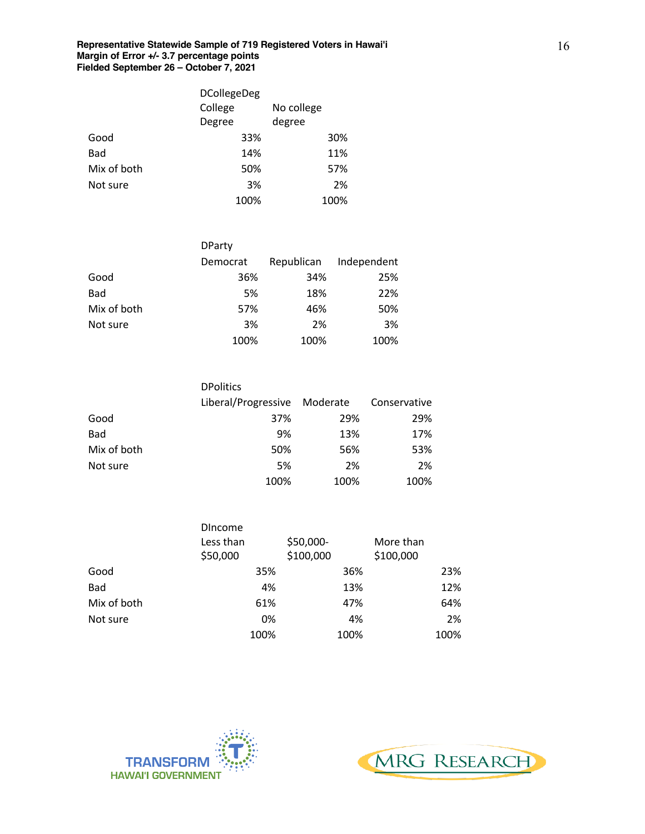|             | <b>DCollegeDeg</b> |            |  |  |
|-------------|--------------------|------------|--|--|
|             | College            | No college |  |  |
|             | Degree             | degree     |  |  |
| Good        | 33%                | 30%        |  |  |
| <b>Bad</b>  | 14%                | 11%        |  |  |
| Mix of both | 50%                | 57%        |  |  |
| Not sure    | 3%                 | 2%         |  |  |
|             | 100%               | 100%       |  |  |

|             | <b>DParty</b> |            |             |
|-------------|---------------|------------|-------------|
|             | Democrat      | Republican | Independent |
| Good        | 36%           | 34%        | 25%         |
| <b>Bad</b>  | 5%            | 18%        | 22%         |
| Mix of both | 57%           | 46%        | 50%         |
| Not sure    | 3%            | 2%         | 3%          |
|             | 100%          | 100%       | 100%        |

|             | <b>DPolitics</b>             |      |              |
|-------------|------------------------------|------|--------------|
|             | Liberal/Progressive Moderate |      | Conservative |
| Good        | 37%                          | 29%  | 29%          |
| <b>Bad</b>  | 9%                           | 13%  | 17%          |
| Mix of both | 50%                          | 56%  | 53%          |
| Not sure    | 5%                           | 2%   | 2%           |
|             | 100%                         | 100% | 100%         |

|             | <b>DIncome</b> |           |           |
|-------------|----------------|-----------|-----------|
|             | Less than      | \$50,000- | More than |
|             | \$50,000       | \$100,000 | \$100,000 |
| Good        | 35%            | 36%       | 23%       |
| Bad         | 4%             | 13%       | 12%       |
| Mix of both | 61%            | 47%       | 64%       |
| Not sure    | 0%             | 4%        | 2%        |
|             | 100%           | 100%      | 100%      |



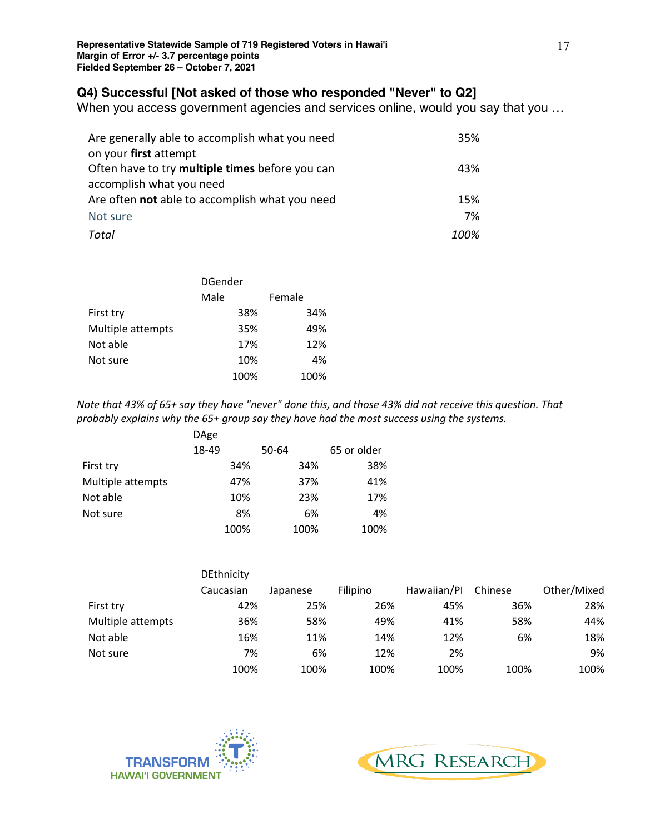## **Q4) Successful [Not asked of those who responded "Never" to Q2]**

When you access government agencies and services online, would you say that you …

| Are generally able to accomplish what you need  | 35%  |
|-------------------------------------------------|------|
| on your first attempt                           |      |
| Often have to try multiple times before you can | 43%  |
| accomplish what you need                        |      |
| Are often not able to accomplish what you need  | 15%  |
| Not sure                                        | 7%   |
| Total                                           | 100% |

|                   | DGender |        |  |
|-------------------|---------|--------|--|
|                   | Male    | Female |  |
| First try         | 38%     | 34%    |  |
| Multiple attempts | 35%     | 49%    |  |
| Not able          | 17%     | 12%    |  |
| Not sure          | 10%     | 4%     |  |
|                   | 100%    | 100%   |  |

*Note that 43% of 65+ say they have "never" done this, and those 43% did not receive this question. That probably explains why the 65+ group say they have had the most success using the systems.*

|                   | DAge  |       |             |
|-------------------|-------|-------|-------------|
|                   | 18-49 | 50-64 | 65 or older |
| First try         | 34%   | 34%   | 38%         |
| Multiple attempts | 47%   | 37%   | 41%         |
| Not able          | 10%   | 23%   | 17%         |
| Not sure          | 8%    | 6%    | 4%          |
|                   | 100%  | 100%  | 100%        |

|                   | DEthnicity |          |          |             |         |             |
|-------------------|------------|----------|----------|-------------|---------|-------------|
|                   | Caucasian  | Japanese | Filipino | Hawaiian/Pl | Chinese | Other/Mixed |
| First try         | 42%        | 25%      | 26%      | 45%         | 36%     | 28%         |
| Multiple attempts | 36%        | 58%      | 49%      | 41%         | 58%     | 44%         |
| Not able          | 16%        | 11%      | 14%      | 12%         | 6%      | 18%         |
| Not sure          | 7%         | 6%       | 12%      | 2%          |         | 9%          |
|                   | 100%       | 100%     | 100%     | 100%        | 100%    | 100%        |



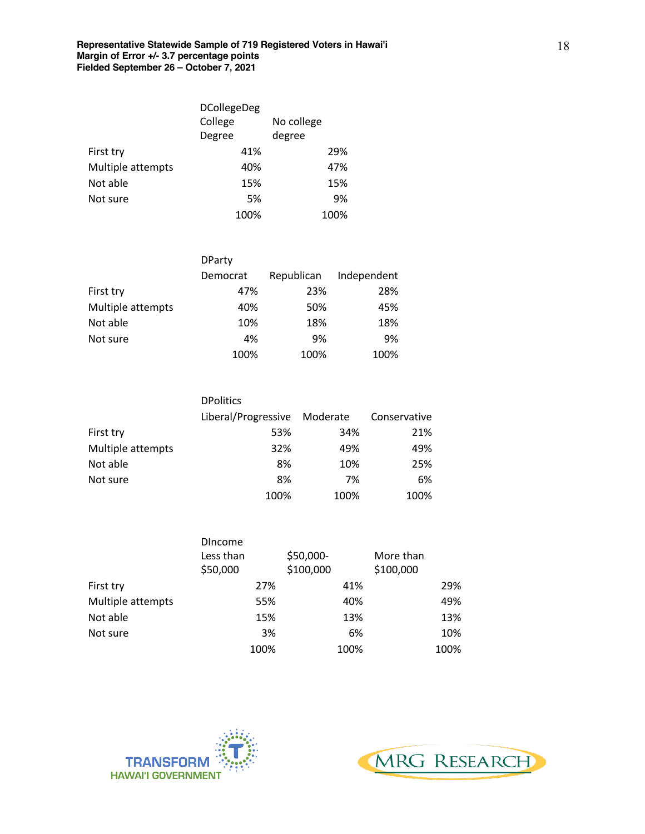|                   | <b>DCollegeDeg</b> |            |  |  |
|-------------------|--------------------|------------|--|--|
|                   | College            | No college |  |  |
|                   | Degree             | degree     |  |  |
| First try         | 41%                | 29%        |  |  |
| Multiple attempts | 40%                | 47%        |  |  |
| Not able          | 15%                | 15%        |  |  |
| Not sure          | 5%                 | 9%         |  |  |
|                   | 100%               | 100%       |  |  |

|                   | <b>DParty</b> |            |             |
|-------------------|---------------|------------|-------------|
|                   | Democrat      | Republican | Independent |
| First try         | 47%           | 23%        | 28%         |
| Multiple attempts | 40%           | 50%        | 45%         |
| Not able          | 10%           | 18%        | 18%         |
| Not sure          | 4%            | 9%         | 9%          |
|                   | 100%          | 100%       | 100%        |

|                   | <b>DPolitics</b>             |      |              |
|-------------------|------------------------------|------|--------------|
|                   | Liberal/Progressive Moderate |      | Conservative |
| First try         | 53%                          | 34%  | 21%          |
| Multiple attempts | 32%                          | 49%  | 49%          |
| Not able          | 8%                           | 10%  | 25%          |
| Not sure          | 8%                           | 7%   | 6%           |
|                   | 100%                         | 100% | 100%         |

|                   | <b>DIncome</b> |           |           |
|-------------------|----------------|-----------|-----------|
|                   | Less than      | \$50,000- | More than |
|                   | \$50,000       | \$100,000 | \$100,000 |
| First try         | 27%            | 41%       | 29%       |
| Multiple attempts | 55%            | 40%       | 49%       |
| Not able          | 15%            | 13%       | 13%       |
| Not sure          | 3%             | 6%        | 10%       |
|                   | 100%           | 100%      | 100%      |



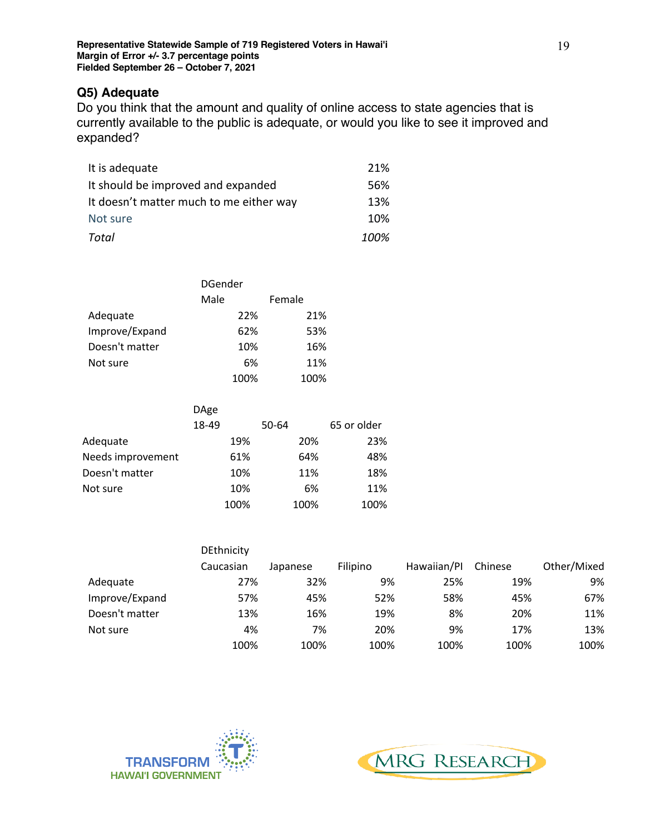## **Q5) Adequate**

Do you think that the amount and quality of online access to state agencies that is currently available to the public is adequate, or would you like to see it improved and expanded?

| It is adequate                          | 21%  |
|-----------------------------------------|------|
| It should be improved and expanded      | 56%  |
| It doesn't matter much to me either way | 13%  |
| Not sure                                | 10%  |
| Total                                   | 100% |

|                | <b>DGender</b> |        |  |
|----------------|----------------|--------|--|
|                | Male           | Female |  |
| Adequate       | 22%            | 21%    |  |
| Improve/Expand | 62%            | 53%    |  |
| Doesn't matter | 10%            | 16%    |  |
| Not sure       | 6%             | 11%    |  |
|                | 100%           | 100%   |  |

|                   | <b>DAge</b> |       |             |
|-------------------|-------------|-------|-------------|
|                   | 18-49       | 50-64 | 65 or older |
| Adequate          | 19%         | 20%   | 23%         |
| Needs improvement | 61%         | 64%   | 48%         |
| Doesn't matter    | 10%         | 11%   | 18%         |
| Not sure          | 10%         | 6%    | 11%         |
|                   | 100%        | 100%  | 100%        |

|                | <b>DEthnicity</b> |          |          |             |         |             |
|----------------|-------------------|----------|----------|-------------|---------|-------------|
|                | Caucasian         | Japanese | Filipino | Hawaiian/Pl | Chinese | Other/Mixed |
| Adequate       | 27%               | 32%      | 9%       | 25%         | 19%     | 9%          |
| Improve/Expand | 57%               | 45%      | 52%      | 58%         | 45%     | 67%         |
| Doesn't matter | 13%               | 16%      | 19%      | 8%          | 20%     | 11%         |
| Not sure       | 4%                | 7%       | 20%      | 9%          | 17%     | 13%         |
|                | 100%              | 100%     | 100%     | 100%        | 100%    | 100%        |



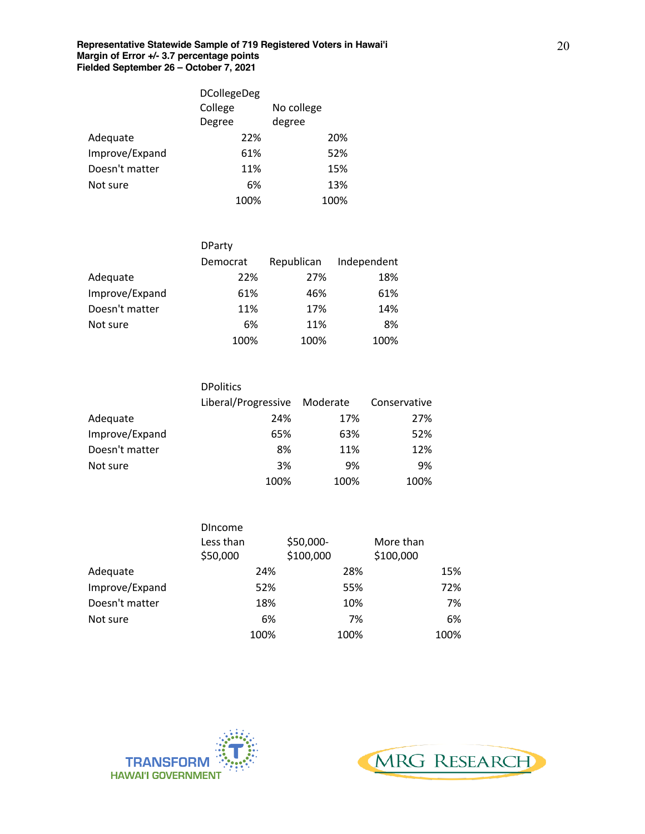|                | <b>DCollegeDeg</b> |            |
|----------------|--------------------|------------|
|                | College            | No college |
|                | Degree             | degree     |
| Adequate       | 22%                | 20%        |
| Improve/Expand | 61%                | 52%        |
| Doesn't matter | 11%                | 15%        |
| Not sure       | 6%                 | 13%        |
|                | 100%               | 100%       |

|                | <b>DParty</b> |            |             |
|----------------|---------------|------------|-------------|
|                | Democrat      | Republican | Independent |
| Adequate       | 22%           | 27%        | 18%         |
| Improve/Expand | 61%           | 46%        | 61%         |
| Doesn't matter | 11%           | 17%        | 14%         |
| Not sure       | 6%            | 11%        | 8%          |
|                | 100%          | 100%       | 100%        |

|                | <b>DPolitics</b>             |      |              |
|----------------|------------------------------|------|--------------|
|                | Liberal/Progressive Moderate |      | Conservative |
| Adequate       | 24%                          | 17%  | 27%          |
| Improve/Expand | 65%                          | 63%  | 52%          |
| Doesn't matter | 8%                           | 11%  | 12%          |
| Not sure       | 3%                           | 9%   | 9%           |
|                | 100%                         | 100% | 100%         |

|                | <b>DIncome</b> |           |           |
|----------------|----------------|-----------|-----------|
|                | Less than      | \$50,000- | More than |
|                | \$50,000       | \$100,000 | \$100,000 |
| Adequate       | 24%            | 28%       | 15%       |
| Improve/Expand | 52%            | 55%       | 72%       |
| Doesn't matter | 18%            | 10%       | 7%        |
| Not sure       | 6%             | 7%        | 6%        |
|                | 100%           | 100%      | 100%      |



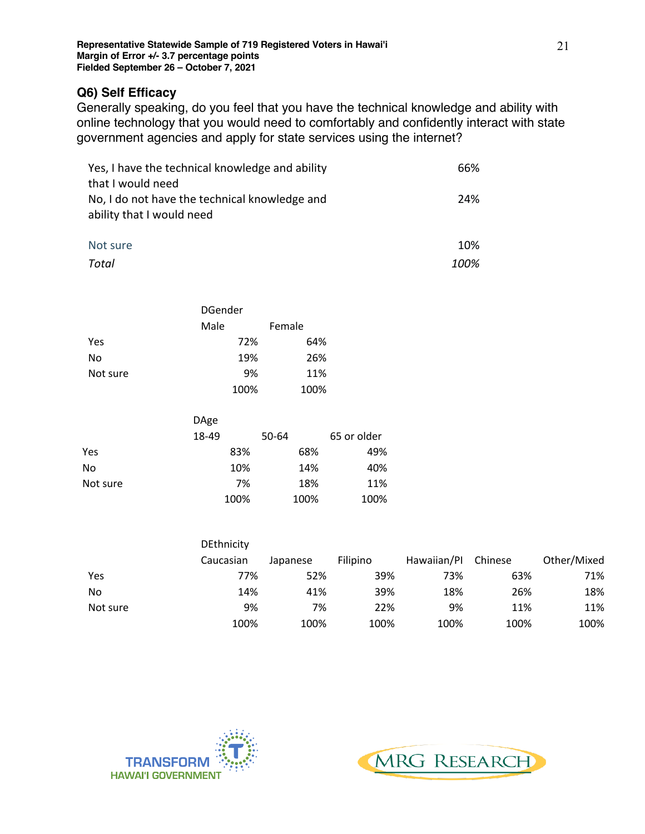## **Q6) Self Efficacy**

Generally speaking, do you feel that you have the technical knowledge and ability with online technology that you would need to comfortably and confidently interact with state government agencies and apply for state services using the internet?

| Yes, I have the technical knowledge and ability | 66%  |
|-------------------------------------------------|------|
| that I would need                               |      |
| No, I do not have the technical knowledge and   | 24%  |
| ability that I would need                       |      |
|                                                 |      |
| Not sure                                        | 10%  |
| Total                                           | 100% |

|          | <b>DGender</b> |        |  |
|----------|----------------|--------|--|
|          | Male           | Female |  |
| Yes      | 72%            | 64%    |  |
| No       | 19%            | 26%    |  |
| Not sure | 9%             | 11%    |  |
|          | 100%           | 100%   |  |

|          | DAge  |       |             |
|----------|-------|-------|-------------|
|          | 18-49 | 50-64 | 65 or older |
| Yes      | 83%   | 68%   | 49%         |
| No       | 10%   | 14%   | 40%         |
| Not sure | 7%    | 18%   | 11%         |
|          | 100%  | 100%  | 100%        |

|          | <b>DEthnicity</b> |          |                 |             |         |             |
|----------|-------------------|----------|-----------------|-------------|---------|-------------|
|          | Caucasian         | Japanese | <b>Filipino</b> | Hawaiian/Pl | Chinese | Other/Mixed |
| Yes      | 77%               | 52%      | 39%             | 73%         | 63%     | 71%         |
| No       | 14%               | 41%      | 39%             | 18%         | 26%     | 18%         |
| Not sure | 9%                | 7%       | 22%             | 9%          | 11%     | 11%         |
|          | 100%              | 100%     | 100%            | 100%        | 100%    | 100%        |



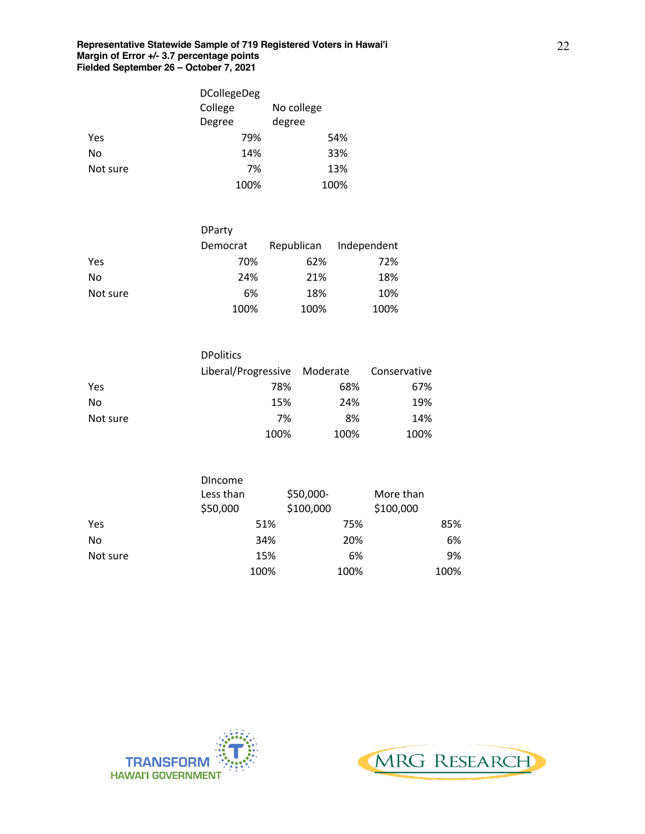|          | <b>DCollegeDeg</b> |            |
|----------|--------------------|------------|
|          | College            | No college |
|          | Degree             | degree     |
| Yes      | 79%                | 54%        |
| No       | 14%                | 33%        |
| Not sure | 7%                 | 13%        |
|          | 100%               | 100%       |

|          | <b>DParty</b> |            |             |
|----------|---------------|------------|-------------|
|          | Democrat      | Republican | Independent |
| Yes      | 70%           | 62%        | 72%         |
| No       | 24%           | 21%        | 18%         |
| Not sure | 6%            | 18%        | 10%         |
|          | 100%          | 100%       | 100%        |

|          | <b>DPolitics</b>             |      |              |
|----------|------------------------------|------|--------------|
|          | Liberal/Progressive Moderate |      | Conservative |
| Yes      | 78%                          | 68%  | 67%          |
| No       | 15%                          | 24%  | 19%          |
| Not sure | 7%                           | 8%   | 14%          |
|          | 100%                         | 100% | 100%         |

|          | <b>Dincome</b><br>Less than<br>\$50,000 | \$50,000-<br>\$100,000 | More than<br>\$100,000 |
|----------|-----------------------------------------|------------------------|------------------------|
| Yes      | 51%                                     | 75%                    | 85%                    |
| No       | 34%                                     | 20%                    | 6%                     |
| Not sure | 15%                                     | 6%                     | 9%                     |
|          | 100%                                    | 100%                   | 100%                   |



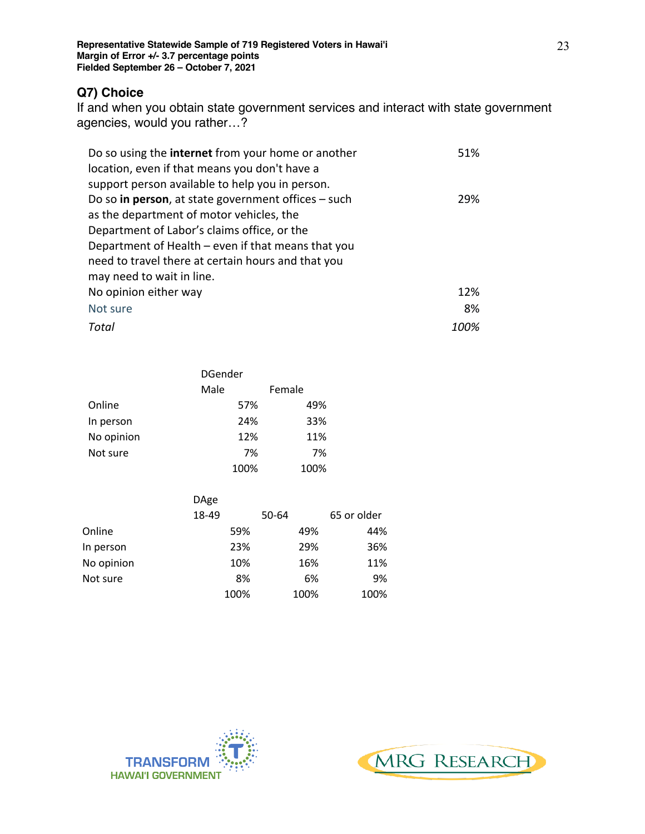## **Q7) Choice**

If and when you obtain state government services and interact with state government agencies, would you rather…?

| Do so using the <b>internet</b> from your home or another | 51%  |
|-----------------------------------------------------------|------|
| location, even if that means you don't have a             |      |
| support person available to help you in person.           |      |
| Do so in person, at state government offices $-$ such     | 29%  |
| as the department of motor vehicles, the                  |      |
| Department of Labor's claims office, or the               |      |
| Department of Health – even if that means that you        |      |
| need to travel there at certain hours and that you        |      |
| may need to wait in line.                                 |      |
| No opinion either way                                     | 12%  |
| Not sure                                                  | 8%   |
| Total                                                     | 100% |

|            | <b>DGender</b> |        |  |  |
|------------|----------------|--------|--|--|
|            | Male           | Female |  |  |
| Online     | 57%            | 49%    |  |  |
| In person  | 24%            | 33%    |  |  |
| No opinion | 12%            | 11%    |  |  |
| Not sure   | 7%             | 7%     |  |  |
|            | 100%           | 100%   |  |  |

|            | <b>DAge</b> |       |             |
|------------|-------------|-------|-------------|
|            | 18-49       | 50-64 | 65 or older |
| Online     | 59%         | 49%   | 44%         |
| In person  | 23%         | 29%   | 36%         |
| No opinion | 10%         | 16%   | 11%         |
| Not sure   | 8%          | 6%    | 9%          |
|            | 100%        | 100%  | 100%        |



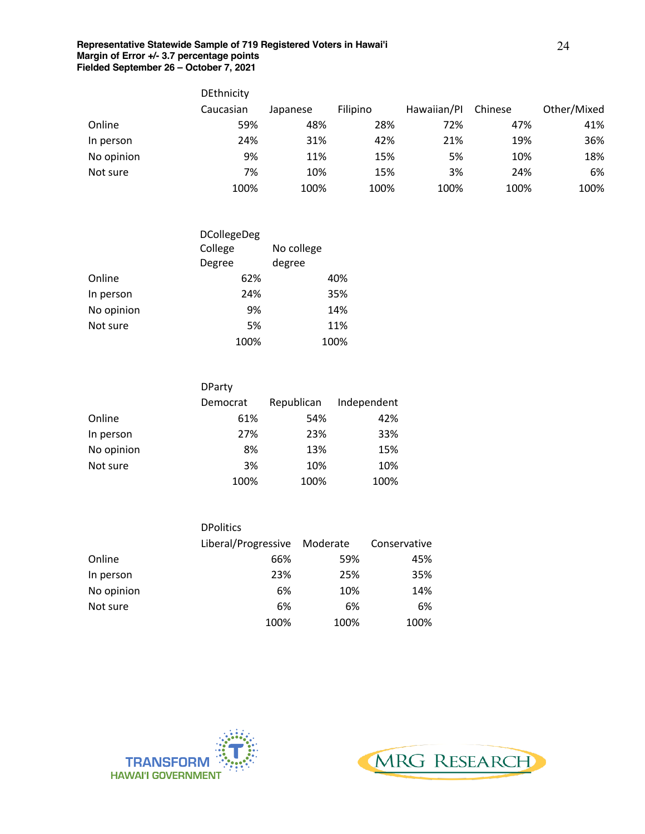|            | <b>DEthnicity</b> |          |          |             |         |             |
|------------|-------------------|----------|----------|-------------|---------|-------------|
|            | Caucasian         | Japanese | Filipino | Hawaiian/Pl | Chinese | Other/Mixed |
| Online     | 59%               | 48%      | 28%      | 72%         | 47%     | 41%         |
| In person  | 24%               | 31%      | 42%      | 21%         | 19%     | 36%         |
| No opinion | 9%                | 11%      | 15%      | 5%          | 10%     | 18%         |
| Not sure   | 7%                | 10%      | 15%      | 3%          | 24%     | 6%          |
|            | 100%              | 100%     | 100%     | 100%        | 100%    | 100%        |

|            | <b>DCollegeDeg</b> |            |  |  |
|------------|--------------------|------------|--|--|
|            | College            | No college |  |  |
|            | Degree             | degree     |  |  |
| Online     | 62%                | 40%        |  |  |
| In person  | 24%                | 35%        |  |  |
| No opinion | 9%                 | 14%        |  |  |
| Not sure   | 5%                 | 11%        |  |  |
|            | 100%               | 100%       |  |  |

|            | <b>DParty</b> |            |             |
|------------|---------------|------------|-------------|
|            | Democrat      | Republican | Independent |
| Online     | 61%           | 54%        | 42%         |
| In person  | 27%           | 23%        | 33%         |
| No opinion | 8%            | 13%        | 15%         |
| Not sure   | 3%            | 10%        | 10%         |
|            | 100%          | 100%       | 100%        |

|            | <b>DPolitics</b>             |      |              |
|------------|------------------------------|------|--------------|
|            | Liberal/Progressive Moderate |      | Conservative |
| Online     | 66%                          | 59%  | 45%          |
| In person  | 23%                          | 25%  | 35%          |
| No opinion | 6%                           | 10%  | 14%          |
| Not sure   | 6%                           | 6%   | 6%           |
|            | 100%                         | 100% | 100%         |



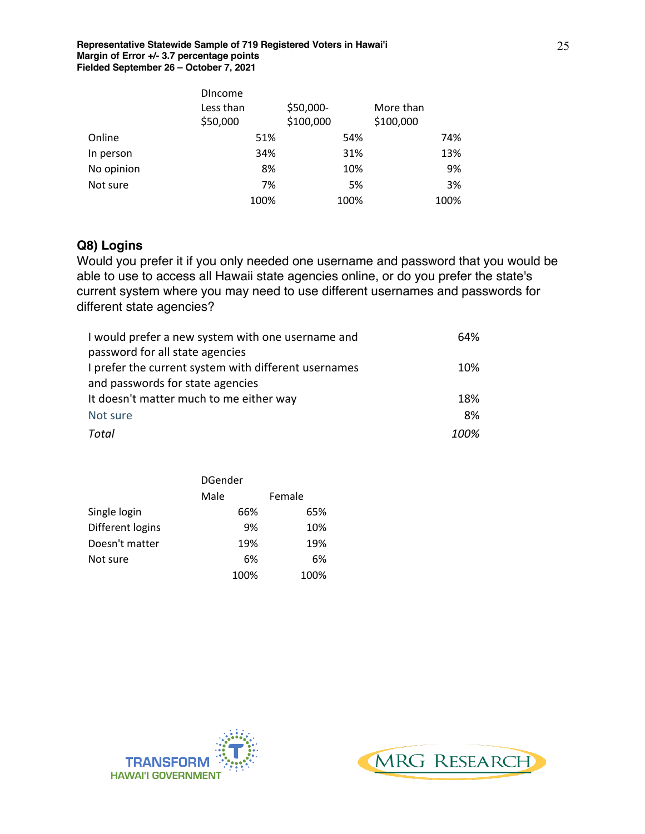|            | <b>Dincome</b><br>Less than<br>\$50,000 | \$50,000-<br>\$100,000 | More than<br>\$100,000 |
|------------|-----------------------------------------|------------------------|------------------------|
| Online     | 51%                                     | 54%                    | 74%                    |
| In person  | 34%                                     | 31%                    | 13%                    |
| No opinion | 8%                                      | 10%                    | 9%                     |
| Not sure   | 7%                                      | 5%                     | 3%                     |
|            | 100%                                    | 100%                   | 100%                   |

## **Q8) Logins**

Would you prefer it if you only needed one username and password that you would be able to use to access all Hawaii state agencies online, or do you prefer the state's current system where you may need to use different usernames and passwords for different state agencies?

| I would prefer a new system with one username and    | 64%  |
|------------------------------------------------------|------|
| password for all state agencies                      |      |
| I prefer the current system with different usernames | 10%  |
| and passwords for state agencies                     |      |
| It doesn't matter much to me either way              | 18%  |
| Not sure                                             | 8%   |
| Total                                                | 100% |

|                  | <b>DGender</b> |        |  |
|------------------|----------------|--------|--|
|                  | Male           | Female |  |
| Single login     | 66%            | 65%    |  |
| Different logins | 9%             | 10%    |  |
| Doesn't matter   | 19%            | 19%    |  |
| Not sure         | 6%             | 6%     |  |
|                  | 100%           | 100%   |  |



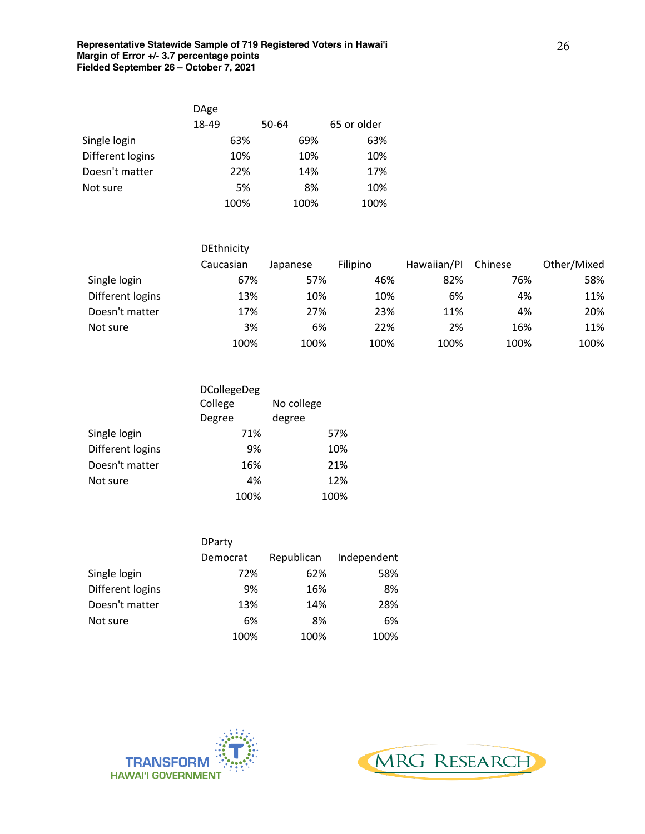|                  | <b>DAge</b> |       |             |
|------------------|-------------|-------|-------------|
|                  | 18-49       | 50-64 | 65 or older |
| Single login     | 63%         | 69%   | 63%         |
| Different logins | 10%         | 10%   | 10%         |
| Doesn't matter   | 22%         | 14%   | 17%         |
| Not sure         | 5%          | 8%    | 10%         |
|                  | 100%        | 100%  | 100%        |

|                  | DEthnicity |          |          |             |         |             |
|------------------|------------|----------|----------|-------------|---------|-------------|
|                  | Caucasian  | Japanese | Filipino | Hawaiian/Pl | Chinese | Other/Mixed |
| Single login     | 67%        | 57%      | 46%      | 82%         | 76%     | 58%         |
| Different logins | 13%        | 10%      | 10%      | 6%          | 4%      | 11%         |
| Doesn't matter   | 17%        | 27%      | 23%      | 11%         | 4%      | 20%         |
| Not sure         | 3%         | 6%       | 22%      | 2%          | 16%     | 11%         |
|                  | 100%       | 100%     | 100%     | 100%        | 100%    | 100%        |

|                  | <b>DCollegeDeg</b> |            |
|------------------|--------------------|------------|
|                  | College            | No college |
|                  | Degree             | degree     |
| Single login     | 71%                | 57%        |
| Different logins | 9%                 | 10%        |
| Doesn't matter   | 16%                | 21%        |
| Not sure         | 4%                 | 12%        |
|                  | 100%               | 100%       |

|                  | <b>DParty</b> |            |             |
|------------------|---------------|------------|-------------|
|                  | Democrat      | Republican | Independent |
| Single login     | 72%           | 62%        | 58%         |
| Different logins | 9%            | 16%        | 8%          |
| Doesn't matter   | 13%           | 14%        | 28%         |
| Not sure         | 6%            | 8%         | 6%          |
|                  | 100%          | 100%       | 100%        |



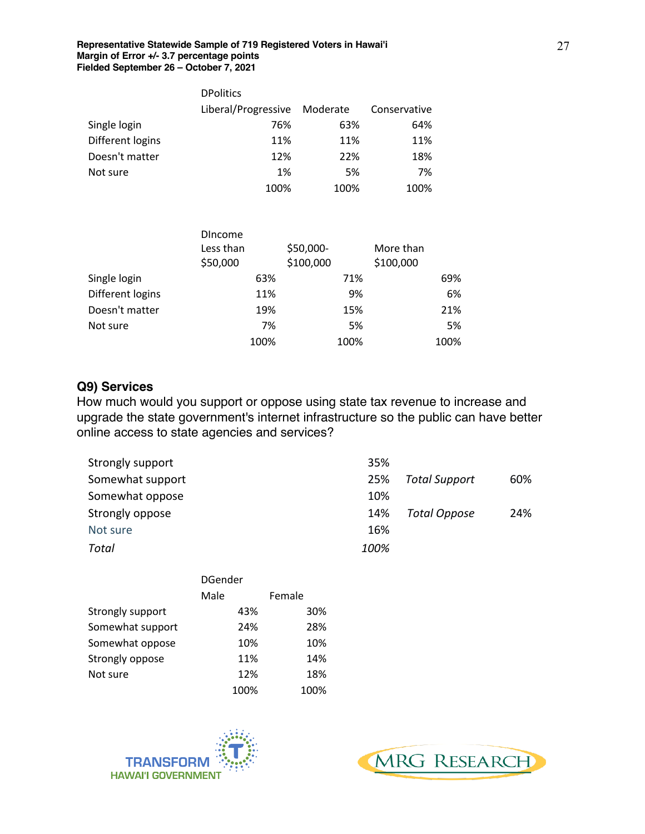|                  | <b>DPolitics</b>    |          |              |
|------------------|---------------------|----------|--------------|
|                  | Liberal/Progressive | Moderate | Conservative |
| Single login     | 76%                 | 63%      | 64%          |
| Different logins | 11%                 | 11%      | 11%          |
| Doesn't matter   | 12%                 | 22%      | 18%          |
| Not sure         | 1%                  | 5%       | 7%           |
|                  | 100%                | 100%     | 100%         |

|                  | <b>Dincome</b><br>Less than<br>\$50,000 | \$50,000-<br>\$100,000 | More than<br>\$100,000 |
|------------------|-----------------------------------------|------------------------|------------------------|
| Single login     | 63%                                     | 71%                    | 69%                    |
| Different logins | 11%                                     | 9%                     | 6%                     |
| Doesn't matter   | 19%                                     | 15%                    | 21%                    |
| Not sure         | 7%                                      | 5%                     | 5%                     |
|                  | 100%                                    | 100%                   | 100%                   |

#### **Q9) Services**

How much would you support or oppose using state tax revenue to increase and upgrade the state government's internet infrastructure so the public can have better online access to state agencies and services?

| Strongly support | 35%  |                      |     |
|------------------|------|----------------------|-----|
| Somewhat support | 25%  | <b>Total Support</b> | 60% |
| Somewhat oppose  | 10%  |                      |     |
| Strongly oppose  | 14%  | Total Oppose         | 24% |
| Not sure         | 16%  |                      |     |
| Total            | 100% |                      |     |

|                  | <b>DGender</b> |        |  |
|------------------|----------------|--------|--|
|                  | Male           | Female |  |
| Strongly support | 43%            | 30%    |  |
| Somewhat support | 24%            | 28%    |  |
| Somewhat oppose  | 10%            | 10%    |  |
| Strongly oppose  | 11%            | 14%    |  |
| Not sure         | 12%            | 18%    |  |
|                  | 100%           | 100%   |  |



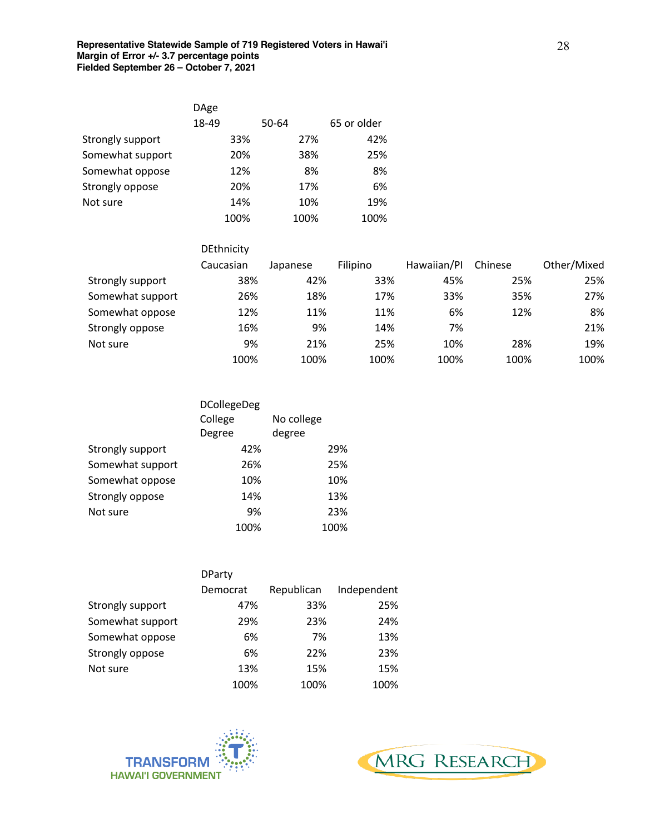|                  | DAge  |      |       |      |             |
|------------------|-------|------|-------|------|-------------|
|                  | 18-49 |      | 50-64 |      | 65 or older |
| Strongly support |       | 33%  |       | 27%  | 42%         |
| Somewhat support |       | 20%  |       | 38%  | 25%         |
| Somewhat oppose  |       | 12%  |       | 8%   | 8%          |
| Strongly oppose  |       | 20%  |       | 17%  | 6%          |
| Not sure         |       | 14%  |       | 10%  | 19%         |
|                  |       | 100% |       | 100% | 100%        |

|                  | DEthnicity |          |          |             |         |             |
|------------------|------------|----------|----------|-------------|---------|-------------|
|                  | Caucasian  | Japanese | Filipino | Hawaiian/Pl | Chinese | Other/Mixed |
| Strongly support | 38%        | 42%      | 33%      | 45%         | 25%     | 25%         |
| Somewhat support | 26%        | 18%      | 17%      | 33%         | 35%     | 27%         |
| Somewhat oppose  | 12%        | 11%      | 11%      | 6%          | 12%     | 8%          |
| Strongly oppose  | 16%        | 9%       | 14%      | 7%          |         | 21%         |
| Not sure         | 9%         | 21%      | 25%      | 10%         | 28%     | 19%         |
|                  | 100%       | 100%     | 100%     | 100%        | 100%    | 100%        |

|                  | <b>DCollegeDeg</b> |            |      |
|------------------|--------------------|------------|------|
|                  | College            | No college |      |
|                  | Degree             | degree     |      |
| Strongly support | 42%                |            | 29%  |
| Somewhat support | 26%                |            | 25%  |
| Somewhat oppose  | 10%                |            | 10%  |
| Strongly oppose  | 14%                |            | 13%  |
| Not sure         | 9%                 |            | 23%  |
|                  | 100%               |            | 100% |

|                  | <b>DParty</b> |            |             |
|------------------|---------------|------------|-------------|
|                  | Democrat      | Republican | Independent |
| Strongly support | 47%           | 33%        | 25%         |
| Somewhat support | 29%           | 23%        | 24%         |
| Somewhat oppose  | 6%            | 7%         | 13%         |
| Strongly oppose  | 6%            | 22%        | 23%         |
| Not sure         | 13%           | 15%        | 15%         |
|                  | 100%          | 100%       | 100%        |



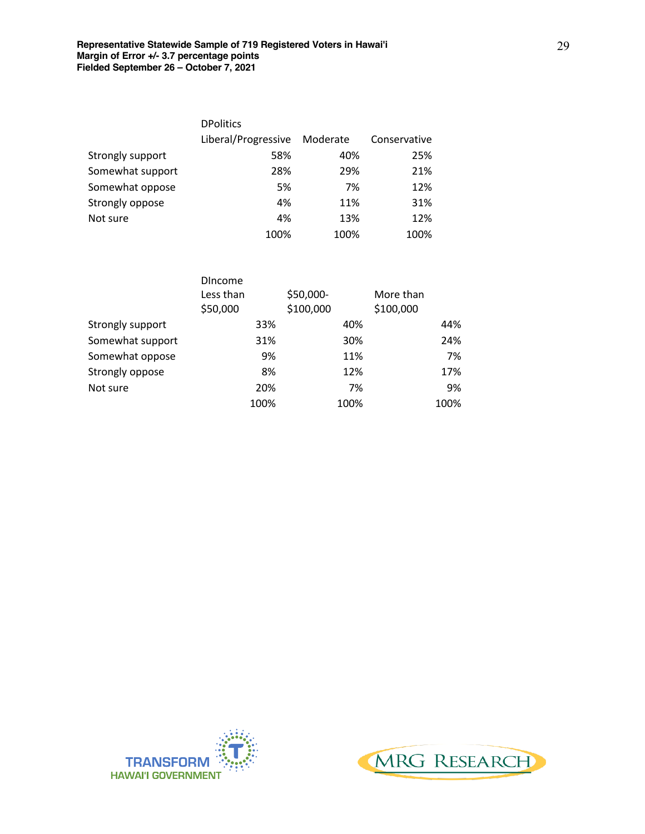|                  | <b>DPolitics</b>    |          |              |
|------------------|---------------------|----------|--------------|
|                  | Liberal/Progressive | Moderate | Conservative |
| Strongly support | 58%                 | 40%      | 25%          |
| Somewhat support | 28%                 | 29%      | 21%          |
| Somewhat oppose  | 5%                  | 7%       | 12%          |
| Strongly oppose  | 4%                  | 11%      | 31%          |
| Not sure         | 4%                  | 13%      | 12%          |
|                  | 100%                | 100%     | 100%         |

|                  | <b>DIncome</b><br>Less than<br>\$50,000 |      | \$50,000-<br>\$100,000 |      | More than<br>\$100,000 |      |
|------------------|-----------------------------------------|------|------------------------|------|------------------------|------|
| Strongly support |                                         | 33%  |                        | 40%  |                        | 44%  |
| Somewhat support |                                         | 31%  |                        | 30%  |                        | 24%  |
| Somewhat oppose  |                                         | 9%   |                        | 11%  |                        | 7%   |
| Strongly oppose  |                                         | 8%   |                        | 12%  |                        | 17%  |
| Not sure         |                                         | 20%  |                        | 7%   |                        | 9%   |
|                  |                                         | 100% |                        | 100% |                        | 100% |



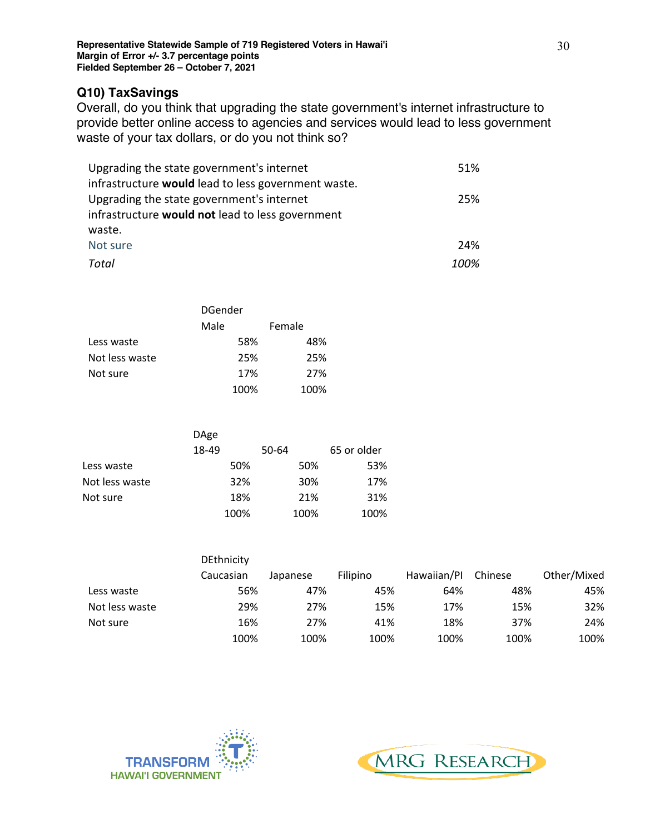## **Q10) TaxSavings**

Overall, do you think that upgrading the state government's internet infrastructure to provide better online access to agencies and services would lead to less government waste of your tax dollars, or do you not think so?

| Upgrading the state government's internet           | 51%  |
|-----------------------------------------------------|------|
| infrastructure would lead to less government waste. |      |
| Upgrading the state government's internet           | 25%  |
| infrastructure would not lead to less government    |      |
| waste.                                              |      |
| Not sure                                            | 24%  |
| Total                                               | 100% |

|                | <b>DGender</b> |        |  |
|----------------|----------------|--------|--|
|                | Male           | Female |  |
| Less waste     | 58%            | 48%    |  |
| Not less waste | 25%            | 25%    |  |
| Not sure       | 17%            | 27%    |  |
|                | 100%           | 100%   |  |

|                | DAge  |       |             |
|----------------|-------|-------|-------------|
|                | 18-49 | 50-64 | 65 or older |
| Less waste     | 50%   | 50%   | 53%         |
| Not less waste | 32%   | 30%   | 17%         |
| Not sure       | 18%   | 21%   | 31%         |
|                | 100%  | 100%  | 100%        |

|                | <b>DEthnicity</b> |          |          |             |         |             |
|----------------|-------------------|----------|----------|-------------|---------|-------------|
|                | Caucasian         | Japanese | Filipino | Hawaiian/Pl | Chinese | Other/Mixed |
| Less waste     | 56%               | 47%      | 45%      | 64%         | 48%     | 45%         |
| Not less waste | 29%               | 27%      | 15%      | 17%         | 15%     | 32%         |
| Not sure       | 16%               | 27%      | 41%      | 18%         | 37%     | 24%         |
|                | 100%              | 100%     | 100%     | 100%        | 100%    | 100%        |



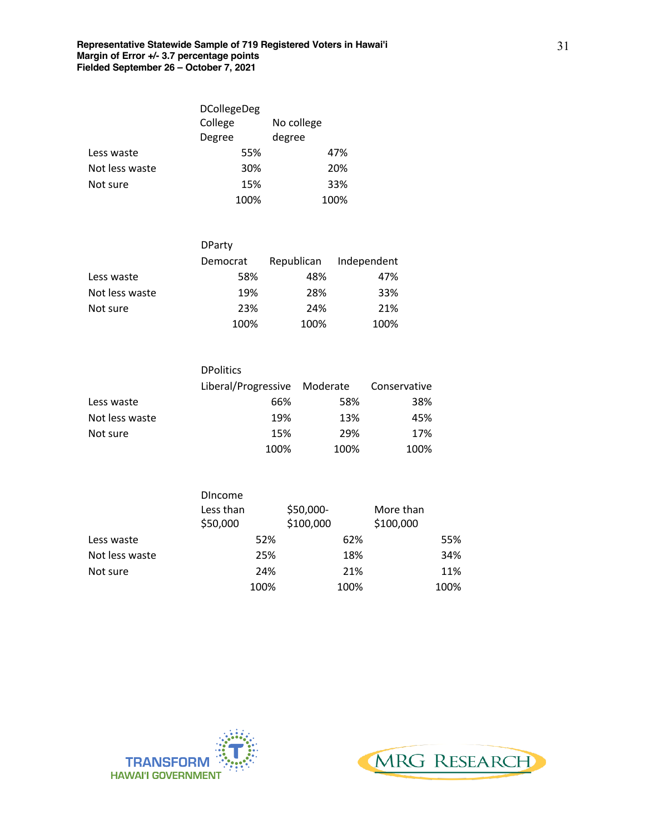|                | <b>DCollegeDeg</b> |            |
|----------------|--------------------|------------|
|                | College            | No college |
|                | Degree             | degree     |
| Less waste     | 55%                | 47%        |
| Not less waste | 30%                | 20%        |
| Not sure       | 15%                | 33%        |
|                | 100%               | 100%       |

|                | <b>DParty</b> |            |             |
|----------------|---------------|------------|-------------|
|                | Democrat      | Republican | Independent |
| Less waste     | 58%           | 48%        | 47%         |
| Not less waste | 19%           | 28%        | 33%         |
| Not sure       | 23%           | 24%        | 21%         |
|                | 100%          | 100%       | 100%        |

|                | <b>DPolitics</b>             |      |              |
|----------------|------------------------------|------|--------------|
|                | Liberal/Progressive Moderate |      | Conservative |
| Less waste     | 66%                          | 58%  | 38%          |
| Not less waste | 19%                          | 13%  | 45%          |
| Not sure       | 15%                          | 29%  | 17%          |
|                | 100%                         | 100% | 100%         |

|                | <b>Dincome</b> |           |           |
|----------------|----------------|-----------|-----------|
|                | Less than      | \$50,000- | More than |
|                | \$50,000       | \$100,000 | \$100,000 |
| Less waste     | 52%            | 62%       | 55%       |
| Not less waste | 25%            | 18%       | 34%       |
| Not sure       | 24%            | 21%       | 11%       |
|                | 100%           | 100%      | 100%      |



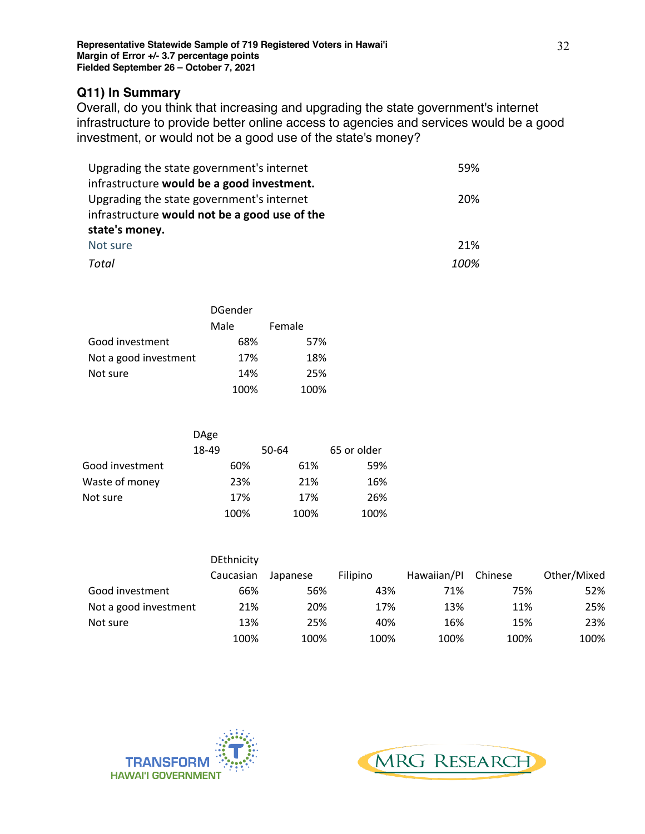## **Q11) In Summary**

Overall, do you think that increasing and upgrading the state government's internet infrastructure to provide better online access to agencies and services would be a good investment, or would not be a good use of the state's money?

| Upgrading the state government's internet     | 59%  |
|-----------------------------------------------|------|
| infrastructure would be a good investment.    |      |
| Upgrading the state government's internet     | 20%  |
| infrastructure would not be a good use of the |      |
| state's money.                                |      |
| Not sure                                      | 21%  |
| Total                                         | 100% |

|                       | <b>DGender</b> |        |  |
|-----------------------|----------------|--------|--|
|                       | Male           | Female |  |
| Good investment       | 68%            | 57%    |  |
| Not a good investment | 17%            | 18%    |  |
| Not sure              | 14%            | 25%    |  |
|                       | 100%           | 100%   |  |

|                 | DAge  |       |             |
|-----------------|-------|-------|-------------|
|                 | 18-49 | 50-64 | 65 or older |
| Good investment | 60%   | 61%   | 59%         |
| Waste of money  | 23%   | 21%   | 16%         |
| Not sure        | 17%   | 17%   | 26%         |
|                 | 100%  | 100%  | 100%        |

|                       | <b>DEthnicity</b> |          |          |             |         |             |
|-----------------------|-------------------|----------|----------|-------------|---------|-------------|
|                       | Caucasian         | Japanese | Filipino | Hawaiian/Pl | Chinese | Other/Mixed |
| Good investment       | 66%               | 56%      | 43%      | 71%         | 75%     | 52%         |
| Not a good investment | 21%               | 20%      | 17%      | 13%         | 11%     | 25%         |
| Not sure              | 13%               | 25%      | 40%      | 16%         | 15%     | 23%         |
|                       | 100%              | 100%     | 100%     | 100%        | 100%    | 100%        |



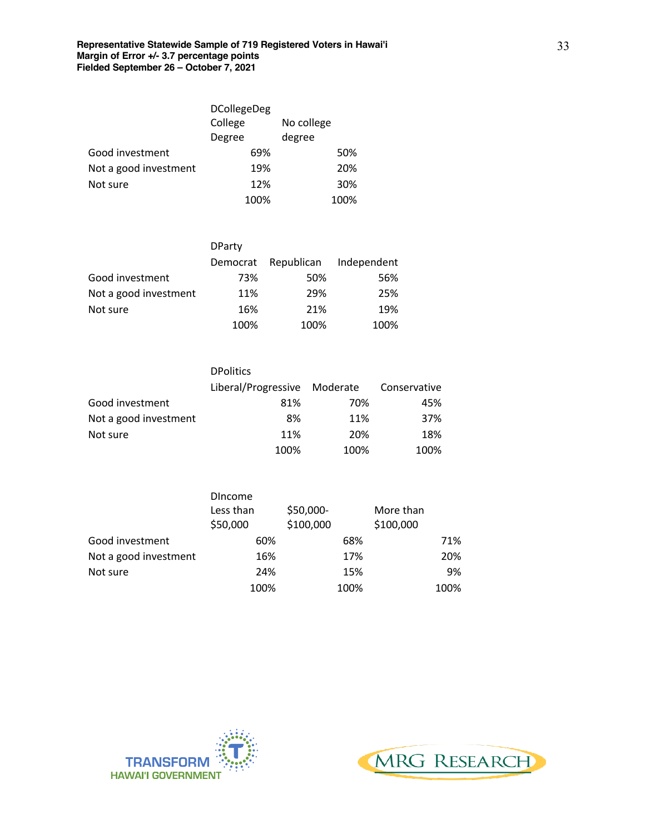|                       | <b>DCollegeDeg</b> |            |
|-----------------------|--------------------|------------|
|                       | College            | No college |
|                       | Degree             | degree     |
| Good investment       | 69%                | 50%        |
| Not a good investment | 19%                | 20%        |
| Not sure              | 12%                | 30%        |
|                       | 100%               | 100%       |

|                       | <b>DParty</b> |            |             |
|-----------------------|---------------|------------|-------------|
|                       | Democrat      | Republican | Independent |
| Good investment       | 73%           | 50%        | 56%         |
| Not a good investment | 11%           | 29%        | 25%         |
| Not sure              | 16%           | 21%        | 19%         |
|                       | 100%          | 100%       | 100%        |

|                       | <b>DPolitics</b>    |          |              |
|-----------------------|---------------------|----------|--------------|
|                       | Liberal/Progressive | Moderate | Conservative |
| Good investment       | 81%                 | 70%      | 45%          |
| Not a good investment | 8%                  | 11%      | 37%          |
| Not sure              | 11%                 | 20%      | 18%          |
|                       | 100%                | 100%     | 100%         |

|                       | <b>Dincome</b><br>Less than<br>\$50,000 | \$50,000-<br>\$100,000 | More than<br>\$100,000 |      |
|-----------------------|-----------------------------------------|------------------------|------------------------|------|
| Good investment       | 60%                                     | 68%                    |                        | 71%  |
| Not a good investment | 16%                                     | 17%                    |                        | 20%  |
| Not sure              | 24%                                     | 15%                    |                        | 9%   |
|                       | 100%                                    | 100%                   |                        | 100% |



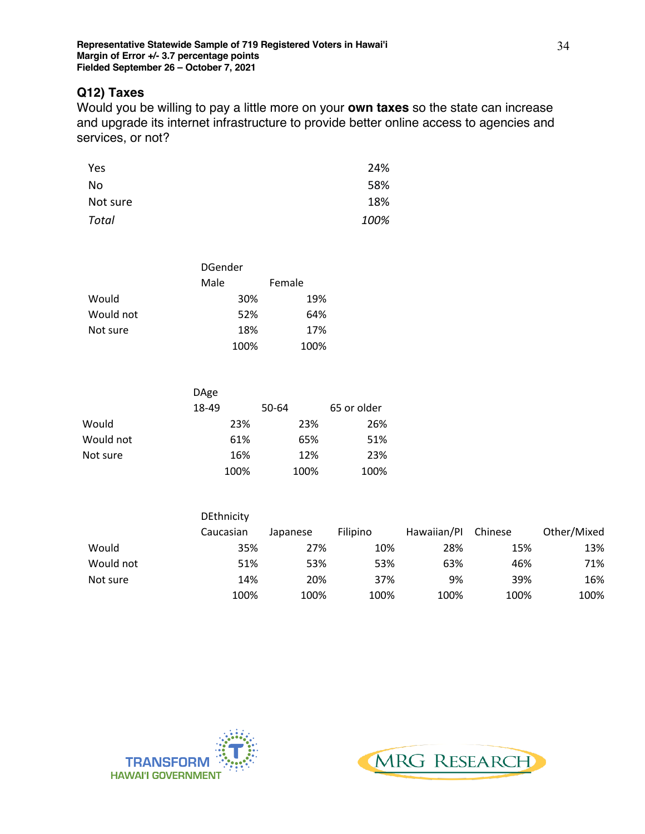## **Q12) Taxes**

Would you be willing to pay a little more on your **own taxes** so the state can increase and upgrade its internet infrastructure to provide better online access to agencies and services, or not?

| Yes      | 24%  |
|----------|------|
| No       | 58%  |
| Not sure | 18%  |
| Total    | 100% |

|           | DGender |        |  |
|-----------|---------|--------|--|
|           | Male    | Female |  |
| Would     | 30%     | 19%    |  |
| Would not | 52%     | 64%    |  |
| Not sure  | 18%     | 17%    |  |
|           | 100%    | 100%   |  |

|           | DAge  |       |             |
|-----------|-------|-------|-------------|
|           | 18-49 | 50-64 | 65 or older |
| Would     | 23%   | 23%   | 26%         |
| Would not | 61%   | 65%   | 51%         |
| Not sure  | 16%   | 12%   | 23%         |
|           | 100%  | 100%  | 100%        |

|           | <b>DEthnicity</b> |          |          |             |         |             |
|-----------|-------------------|----------|----------|-------------|---------|-------------|
|           | Caucasian         | Japanese | Filipino | Hawaiian/Pl | Chinese | Other/Mixed |
| Would     | 35%               | 27%      | 10%      | 28%         | 15%     | 13%         |
| Would not | 51%               | 53%      | 53%      | 63%         | 46%     | 71%         |
| Not sure  | 14%               | 20%      | 37%      | 9%          | 39%     | 16%         |
|           | 100%              | 100%     | 100%     | 100%        | 100%    | 100%        |



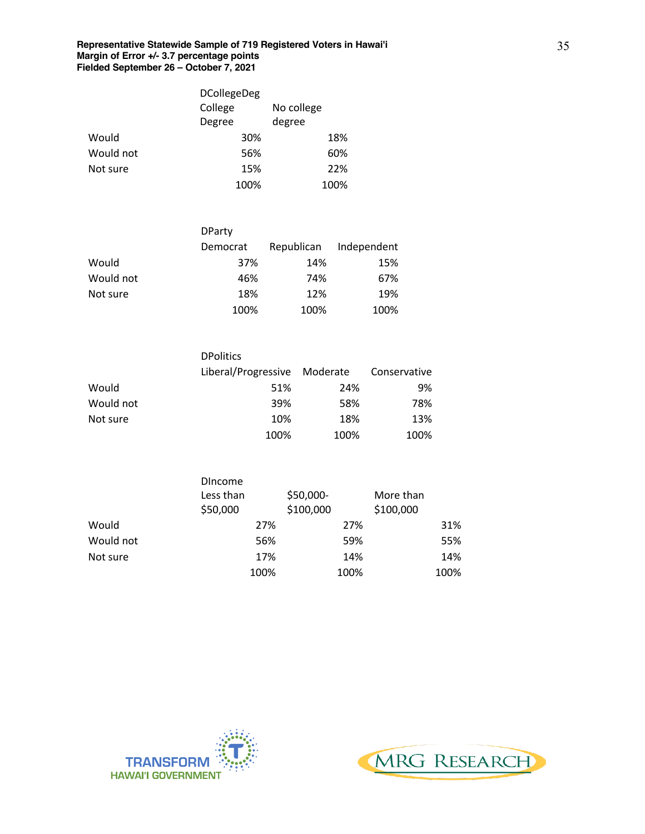|           | <b>DCollegeDeg</b> |            |
|-----------|--------------------|------------|
|           | College            | No college |
|           | Degree             | degree     |
| Would     | 30%                | 18%        |
| Would not | 56%                | 60%        |
| Not sure  | 15%                | 22%        |
|           | 100%               | 100%       |

|           | <b>DParty</b> |            |             |
|-----------|---------------|------------|-------------|
|           | Democrat      | Republican | Independent |
| Would     | 37%           | 14%        | 15%         |
| Would not | 46%           | 74%        | 67%         |
| Not sure  | 18%           | 12%        | 19%         |
|           | 100%          | 100%       | 100%        |

|           | <b>DPolitics</b>             |      |              |
|-----------|------------------------------|------|--------------|
|           | Liberal/Progressive Moderate |      | Conservative |
| Would     | 51%                          | 24%  | 9%           |
| Would not | 39%                          | 58%  | 78%          |
| Not sure  | 10%                          | 18%  | 13%          |
|           | 100%                         | 100% | 100%         |

|           | <b>Dincome</b><br>Less than<br>\$50,000 | \$50,000-<br>\$100,000 | More than<br>\$100,000 |
|-----------|-----------------------------------------|------------------------|------------------------|
| Would     | 27%                                     | 27%                    | 31%                    |
| Would not | 56%                                     | 59%                    | 55%                    |
| Not sure  | 17%                                     | 14%                    | 14%                    |
|           | 100%                                    | 100%                   | 100%                   |



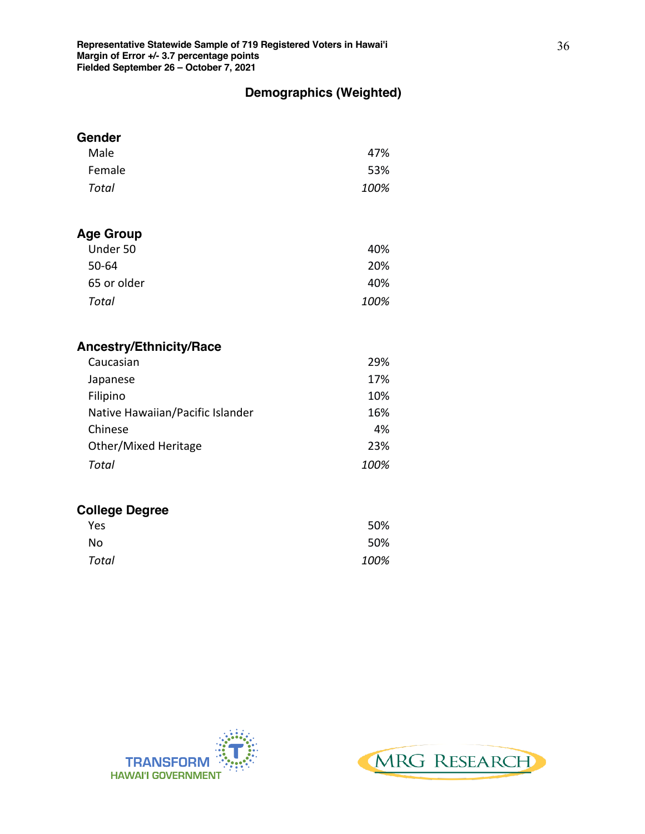## **Demographics (Weighted)**

| Gender                           |      |
|----------------------------------|------|
| Male                             | 47%  |
| Female                           | 53%  |
| <b>Total</b>                     | 100% |
|                                  |      |
| <b>Age Group</b>                 |      |
| Under 50                         | 40%  |
| 50-64                            | 20%  |
| 65 or older                      | 40%  |
| <b>Total</b>                     | 100% |
| <b>Ancestry/Ethnicity/Race</b>   |      |
| Caucasian                        | 29%  |
| Japanese                         | 17%  |
| Filipino                         | 10%  |
| Native Hawaiian/Pacific Islander | 16%  |
| Chinese                          | 4%   |
| Other/Mixed Heritage             | 23%  |
| <b>Total</b>                     | 100% |
| <b>College Degree</b>            |      |
| Yes                              | 50%  |
| No                               | 50%  |
| <b>Total</b>                     | 100% |



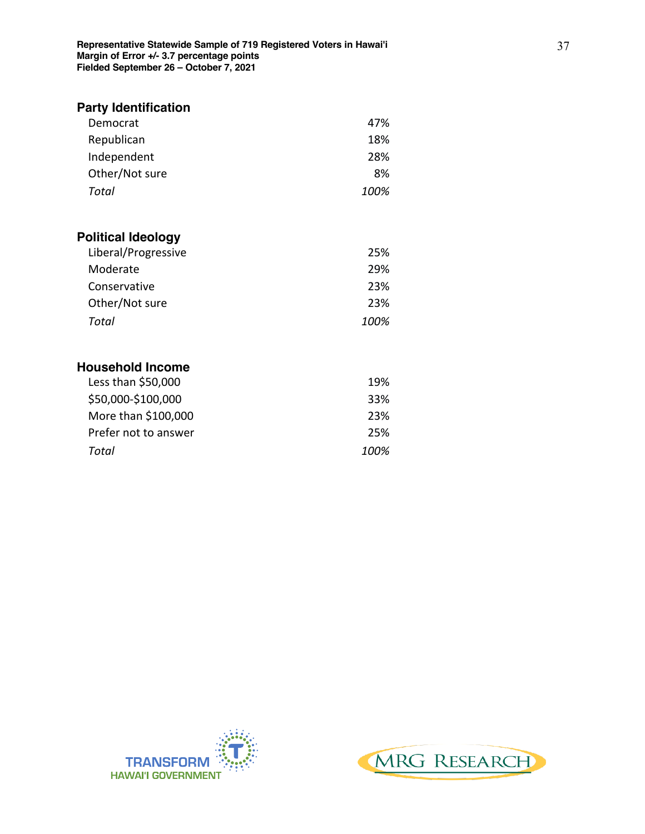| 47%  |
|------|
| 18%  |
| 28%  |
| 8%   |
| 100% |
|      |

## **Political Ideology**

| Liberal/Progressive | 25%  |
|---------------------|------|
| Moderate            | 29%  |
| Conservative        | 23%  |
| Other/Not sure      | 23%  |
| Total               | 100% |

# **Household Income**

| Less than \$50,000   | 19%  |
|----------------------|------|
| \$50,000-\$100,000   | 33%  |
| More than \$100,000  | 23%  |
| Prefer not to answer | 25%  |
| Total                | 100% |